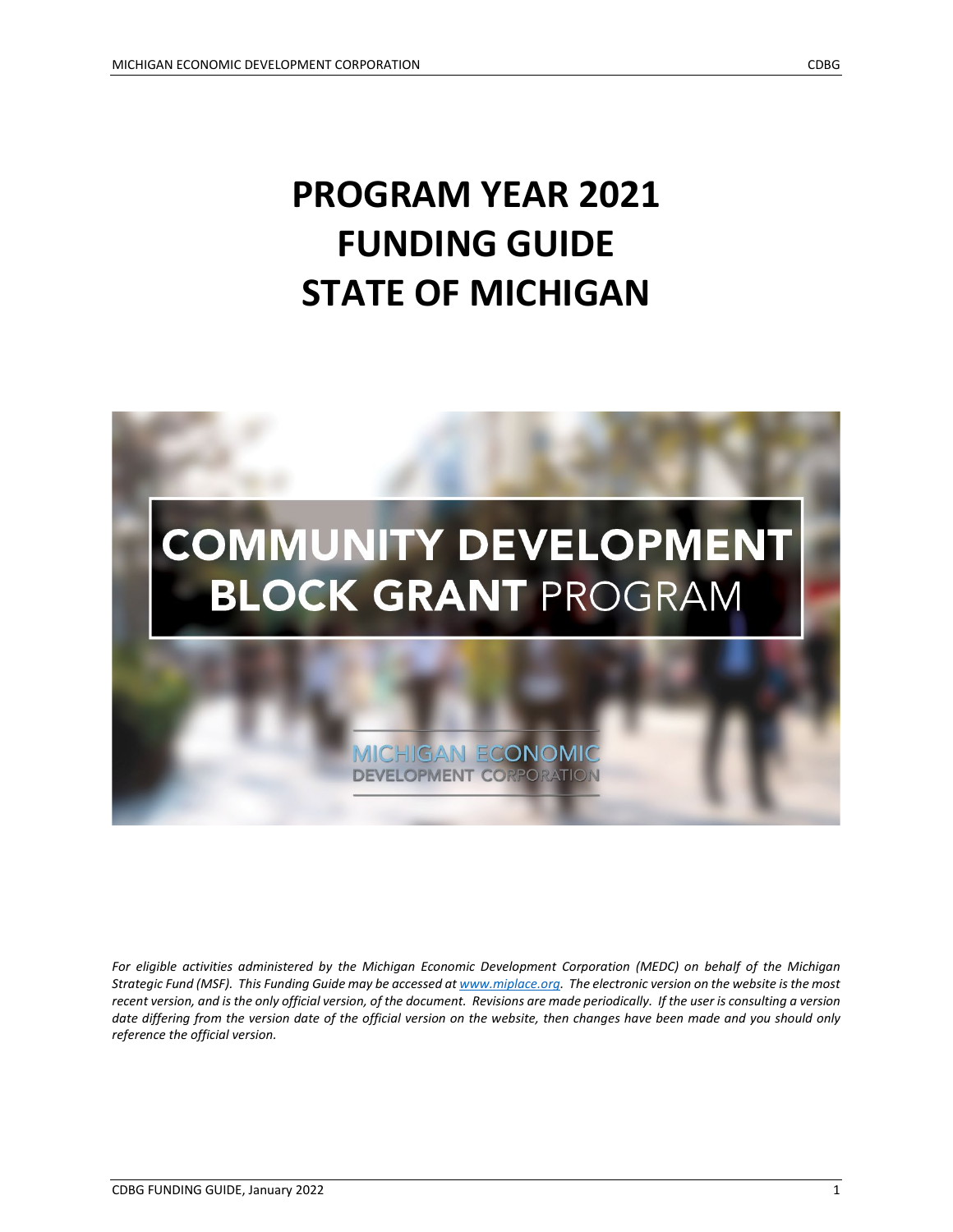# **PROGRAM YEAR 2021 FUNDING GUIDE STATE OF MICHIGAN**



*For eligible activities administered by the Michigan Economic Development Corporation (MEDC) on behalf of the Michigan Strategic Fund (MSF). This Funding Guide may be accessed a[t www.miplace.org.](http://www.miplace.org/) The electronic version on the website is the most recent version, and is the only official version, of the document. Revisions are made periodically. If the user is consulting a version*  date differing from the version date of the official version on the website, then changes have been made and you should only *reference the official version.*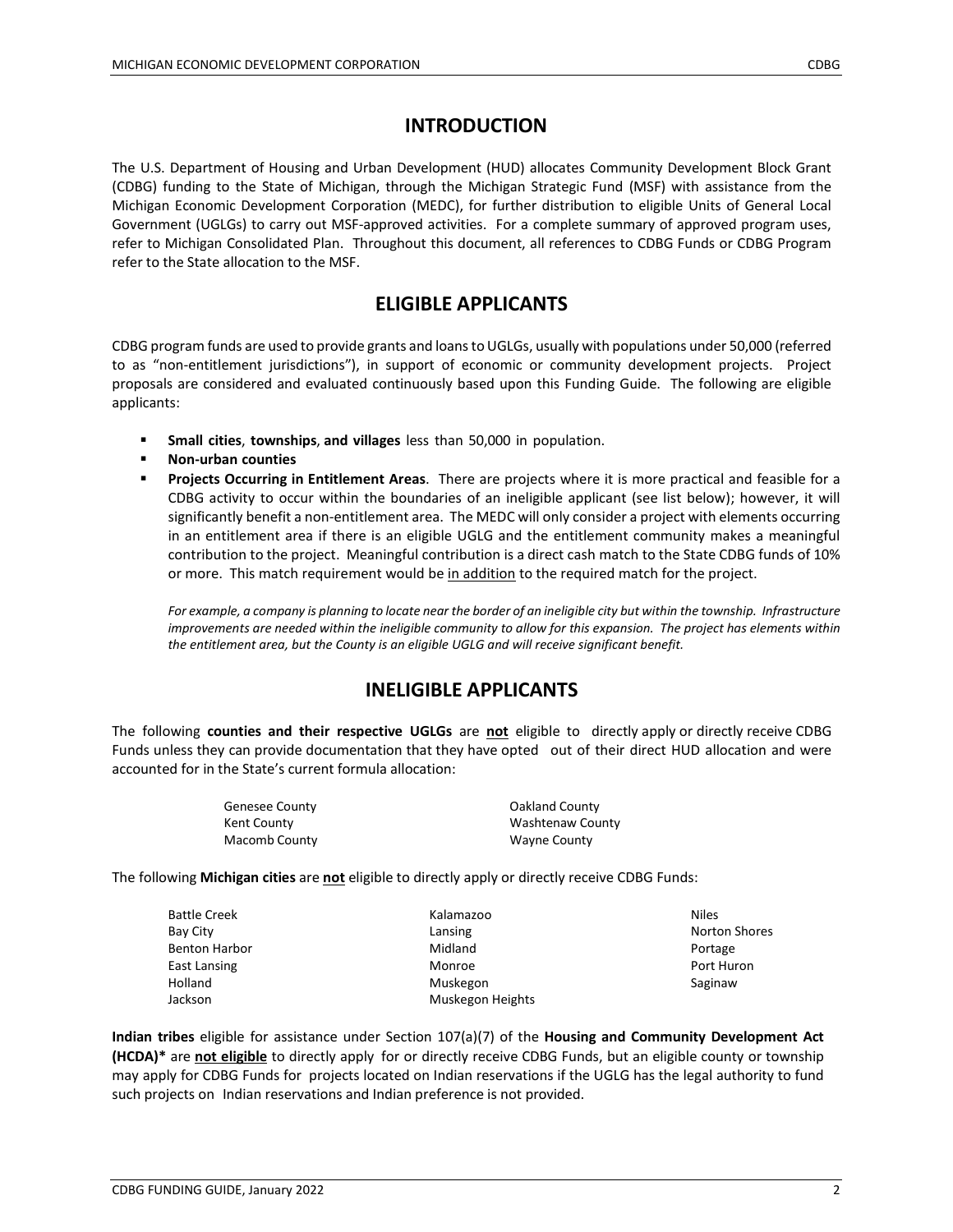# **INTRODUCTION**

The U.S. Department of Housing and Urban Development (HUD) allocates Community Development Block Grant (CDBG) funding to the State of Michigan, through the Michigan Strategic Fund (MSF) with assistance from the Michigan Economic Development Corporation (MEDC), for further distribution to eligible Units of General Local Government (UGLGs) to carry out MSF-approved activities. For a complete summary of approved program uses, refer to Michigan Consolidated Plan. Throughout this document, all references to CDBG Funds or CDBG Program refer to the State allocation to the MSF.

# **ELIGIBLE APPLICANTS**

CDBG program funds are used to provide grants and loans to UGLGs, usually with populations under 50,000 (referred to as "non-entitlement jurisdictions"), in support of economic or community development projects. Project proposals are considered and evaluated continuously based upon this Funding Guide. The following are eligible applicants:

- **Small cities**, **townships**, **and villages** less than 50,000 in population.
- **Non-urban counties**
- **Projects Occurring in Entitlement Areas**. There are projects where it is more practical and feasible for a CDBG activity to occur within the boundaries of an ineligible applicant (see list below); however, it will significantly benefit a non-entitlement area. The MEDC will only consider a project with elements occurring in an entitlement area if there is an eligible UGLG and the entitlement community makes a meaningful contribution to the project. Meaningful contribution is a direct cash match to the State CDBG funds of 10% or more. This match requirement would be in addition to the required match for the project.

*For example, a company is planning to locate near the border of an ineligible city but within the township. Infrastructure improvements are needed within the ineligible community to allow for this expansion. The project has elements within the entitlement area, but the County is an eligible UGLG and will receive significant benefit.*

## **INELIGIBLE APPLICANTS**

The following **counties and their respective UGLGs** are **not** eligible to directly apply or directly receive CDBG Funds unless they can provide documentation that they have opted out of their direct HUD allocation and were accounted for in the State's current formula allocation:

| <b>Genesee County</b> | Oakland County   |
|-----------------------|------------------|
| Kent County           | Washtenaw County |
| Macomb County         | Wayne County     |

The following **Michigan cities** are **not** eligible to directly apply or directly receive CDBG Funds:

| <b>Battle Creek</b>  | Kalamazoo        | <b>Niles</b>         |
|----------------------|------------------|----------------------|
| Bay City             | Lansing          | <b>Norton Shores</b> |
| <b>Benton Harbor</b> | Midland          | Portage              |
| East Lansing         | Monroe           | Port Huron           |
| Holland              | Muskegon         | Saginaw              |
| Jackson              | Muskegon Heights |                      |

**Indian tribes** eligible for assistance under Section 107(a)(7) of the **Housing and Community Development Act (HCDA)\*** are **not eligible** to directly apply for or directly receive CDBG Funds, but an eligible county or township may apply for CDBG Funds for projects located on Indian reservations if the UGLG has the legal authority to fund such projects on Indian reservations and Indian preference is not provided.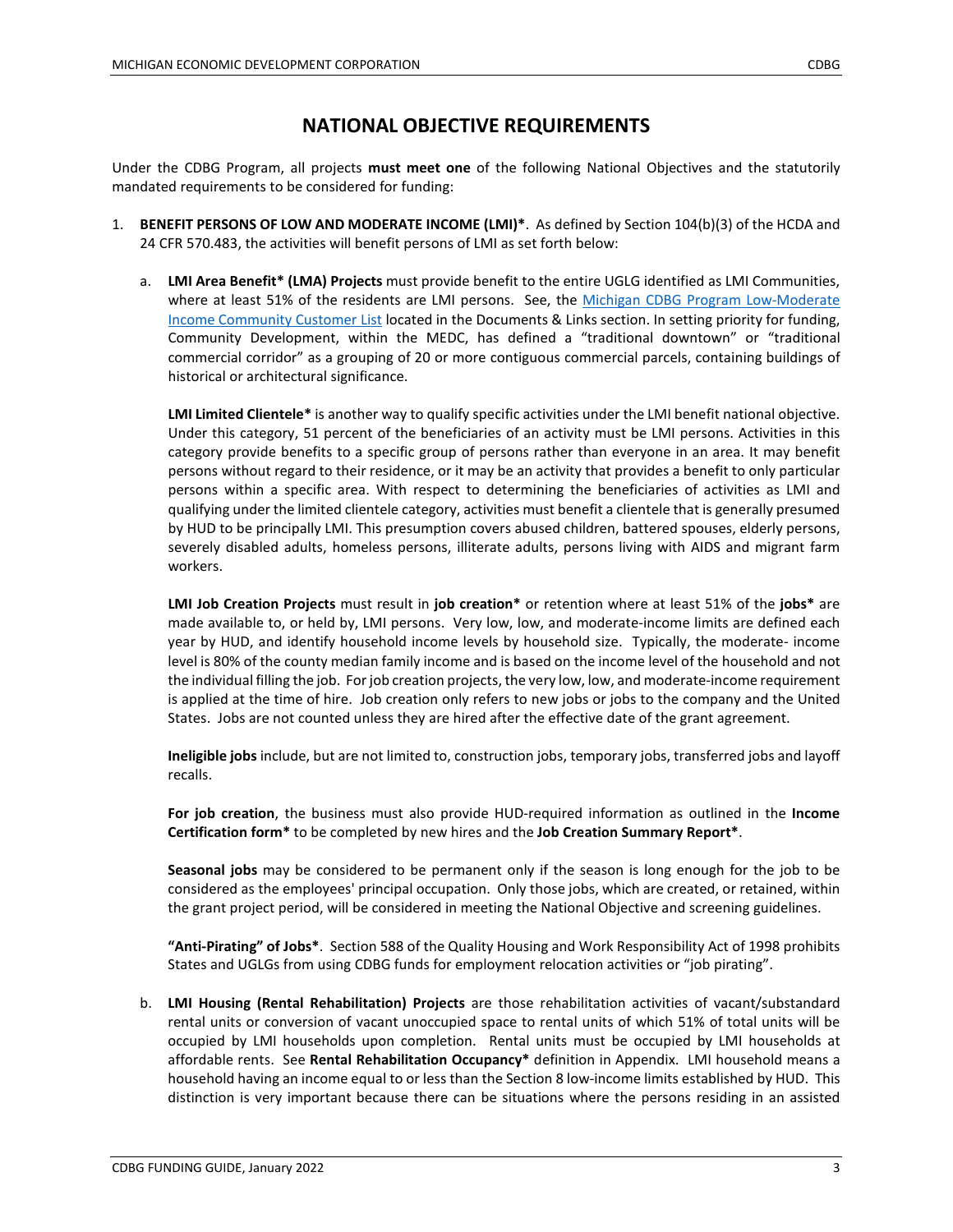#### **NATIONAL OBJECTIVE REQUIREMENTS**

Under the CDBG Program, all projects **must meet one** of the following National Objectives and the statutorily mandated requirements to be considered for funding:

- 1. **BENEFIT PERSONS OF LOW AND MODERATE INCOME (LMI)\***. As defined by Section 104(b)(3) of the HCDA and 24 CFR 570.483, the activities will benefit persons of LMI as set forth below:
	- a. **LMI Area Benefit\* (LMA) Projects** must provide benefit to the entire UGLG identified as LMI Communities, where at least 51% of the residents are LMI persons. See, the Michigan CDBG Program Low-Moderate [Income Community Customer List](https://www.miplace.org/programs/community-development-block-grant/) located in the Documents & Links section. In setting priority for funding, Community Development, within the MEDC, has defined a "traditional downtown" or "traditional commercial corridor" as a grouping of 20 or more contiguous commercial parcels, containing buildings of historical or architectural significance.

**LMI Limited Clientele\*** is another way to qualify specific activities under the LMI benefit national objective. Under this category, 51 percent of the beneficiaries of an activity must be LMI persons. Activities in this category provide benefits to a specific group of persons rather than everyone in an area. It may benefit persons without regard to their residence, or it may be an activity that provides a benefit to only particular persons within a specific area. With respect to determining the beneficiaries of activities as LMI and qualifying under the limited clientele category, activities must benefit a clientele that is generally presumed by HUD to be principally LMI. This presumption covers abused children, battered spouses, elderly persons, severely disabled adults, homeless persons, illiterate adults, persons living with AIDS and migrant farm workers.

**LMI Job Creation Projects** must result in **job creation\*** or retention where at least 51% of the **jobs\*** are made available to, or held by, LMI persons. Very low, low, and moderate-income limits are defined each year by HUD, and identify household income levels by household size. Typically, the moderate- income level is 80% of the county median family income and is based on the income level of the household and not the individual filling the job. For job creation projects, the very low, low, and moderate-income requirement is applied at the time of hire. Job creation only refers to new jobs or jobs to the company and the United States. Jobs are not counted unless they are hired after the effective date of the grant agreement.

**Ineligible jobs** include, but are not limited to, construction jobs, temporary jobs, transferred jobs and layoff recalls.

**For job creation**, the business must also provide HUD-required information as outlined in the **Income Certification form\*** to be completed by new hires and the **Job Creation Summary Report\***.

**Seasonal jobs** may be considered to be permanent only if the season is long enough for the job to be considered as the employees' principal occupation. Only those jobs, which are created, or retained, within the grant project period, will be considered in meeting the National Objective and screening guidelines.

**"Anti-Pirating" of Jobs\***. Section 588 of the Quality Housing and Work Responsibility Act of 1998 prohibits States and UGLGs from using CDBG funds for employment relocation activities or "job pirating".

b. **LMI Housing (Rental Rehabilitation) Projects** are those rehabilitation activities of vacant/substandard rental units or conversion of vacant unoccupied space to rental units of which 51% of total units will be occupied by LMI households upon completion. Rental units must be occupied by LMI households at affordable rents. See **Rental Rehabilitation Occupancy\*** definition in Appendix. LMI household means a household having an income equal to or less than the Section 8 low-income limits established by HUD. This distinction is very important because there can be situations where the persons residing in an assisted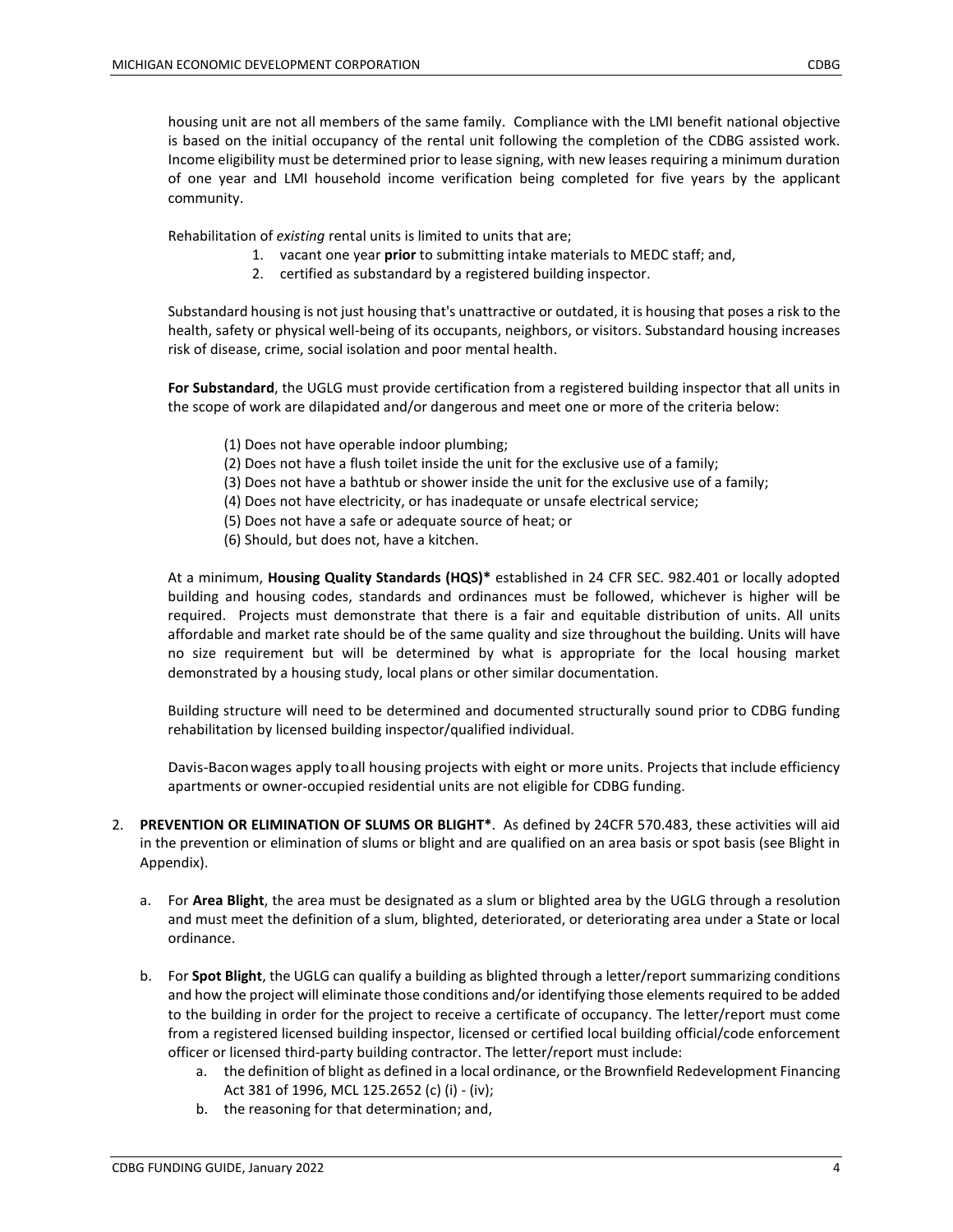housing unit are not all members of the same family. Compliance with the LMI benefit national objective is based on the initial occupancy of the rental unit following the completion of the CDBG assisted work. Income eligibility must be determined prior to lease signing, with new leases requiring a minimum duration of one year and LMI household income verification being completed for five years by the applicant community.

Rehabilitation of *existing* rental units is limited to units that are;

- 1. vacant one year **prior** to submitting intake materials to MEDC staff; and,
- 2. certified as substandard by a registered building inspector.

Substandard housing is not just housing that's unattractive or outdated, it is housing that poses a risk to the health, safety or physical well-being of its occupants, neighbors, or visitors. Substandard housing increases risk of disease, crime, social isolation and poor mental health.

**For Substandard**, the UGLG must provide certification from a registered building inspector that all units in the scope of work are dilapidated and/or dangerous and meet one or more of the criteria below:

- (1) Does not have operable indoor plumbing;
- (2) Does not have a flush toilet inside the unit for the exclusive use of a family;
- (3) Does not have a bathtub or shower inside the unit for the exclusive use of a family;
- (4) Does not have electricity, or has inadequate or unsafe electrical service;
- (5) Does not have a safe or adequate source of heat; or
- (6) Should, but does not, have a kitchen.

At a minimum, **Housing Quality Standards (HQS)\*** established in 24 CFR SEC. 982.401 or locally adopted building and housing codes, standards and ordinances must be followed, whichever is higher will be required. Projects must demonstrate that there is a fair and equitable distribution of units. All units affordable and market rate should be of the same quality and size throughout the building. Units will have no size requirement but will be determined by what is appropriate for the local housing market demonstrated by a housing study, local plans or other similar documentation.

Building structure will need to be determined and documented structurally sound prior to CDBG funding rehabilitation by licensed building inspector/qualified individual.

Davis-Baconwages apply toall housing projects with eight or more units. Projects that include efficiency apartments or owner-occupied residential units are not eligible for CDBG funding.

- 2. **PREVENTION OR ELIMINATION OF SLUMS OR BLIGHT\***. As defined by 24CFR 570.483, these activities will aid in the prevention or elimination of slums or blight and are qualified on an area basis or spot basis (see Blight in Appendix).
	- a. For **Area Blight**, the area must be designated as a slum or blighted area by the UGLG through a resolution and must meet the definition of a slum, blighted, deteriorated, or deteriorating area under a State or local ordinance.
	- b. For **Spot Blight**, the UGLG can qualify a building as blighted through a letter/report summarizing conditions and how the project will eliminate those conditions and/or identifying those elements required to be added to the building in order for the project to receive a certificate of occupancy. The letter/report must come from a registered licensed building inspector, licensed or certified local building official/code enforcement officer or licensed third-party building contractor. The letter/report must include:
		- a. the definition of blight as defined in a local ordinance, or the Brownfield Redevelopment Financing Act 381 of 1996, MCL 125.2652 (c) (i) - (iv);
		- b. the reasoning for that determination; and,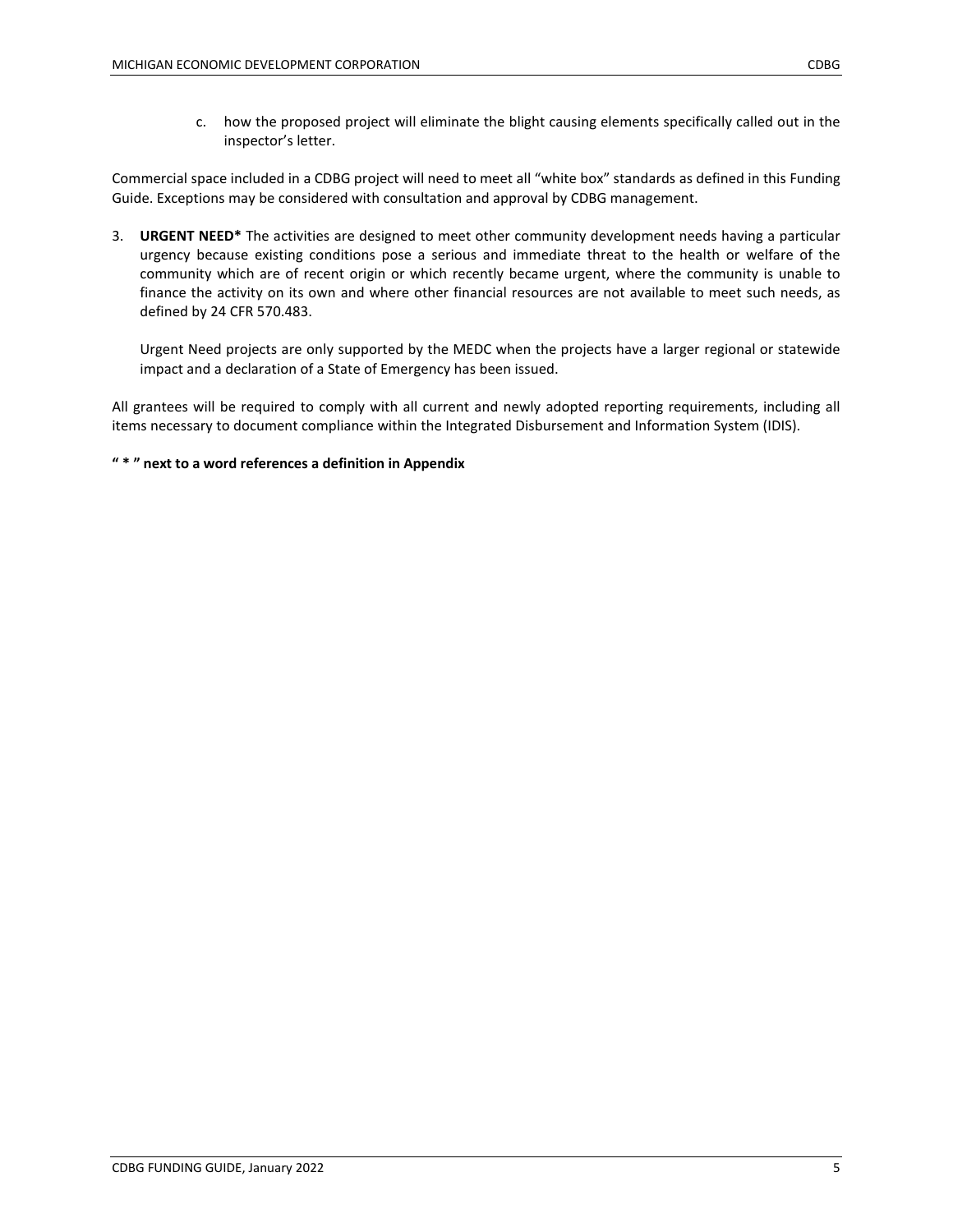c. how the proposed project will eliminate the blight causing elements specifically called out in the inspector's letter.

Commercial space included in a CDBG project will need to meet all "white box" standards as defined in this Funding Guide. Exceptions may be considered with consultation and approval by CDBG management.

3. **URGENT NEED\*** The activities are designed to meet other community development needs having a particular urgency because existing conditions pose a serious and immediate threat to the health or welfare of the community which are of recent origin or which recently became urgent, where the community is unable to finance the activity on its own and where other financial resources are not available to meet such needs, as defined by 24 CFR 570.483.

Urgent Need projects are only supported by the MEDC when the projects have a larger regional or statewide impact and a declaration of a State of Emergency has been issued.

All grantees will be required to comply with all current and newly adopted reporting requirements, including all items necessary to document compliance within the Integrated Disbursement and Information System (IDIS).

**" \* " next to a word references a definition in Appendix**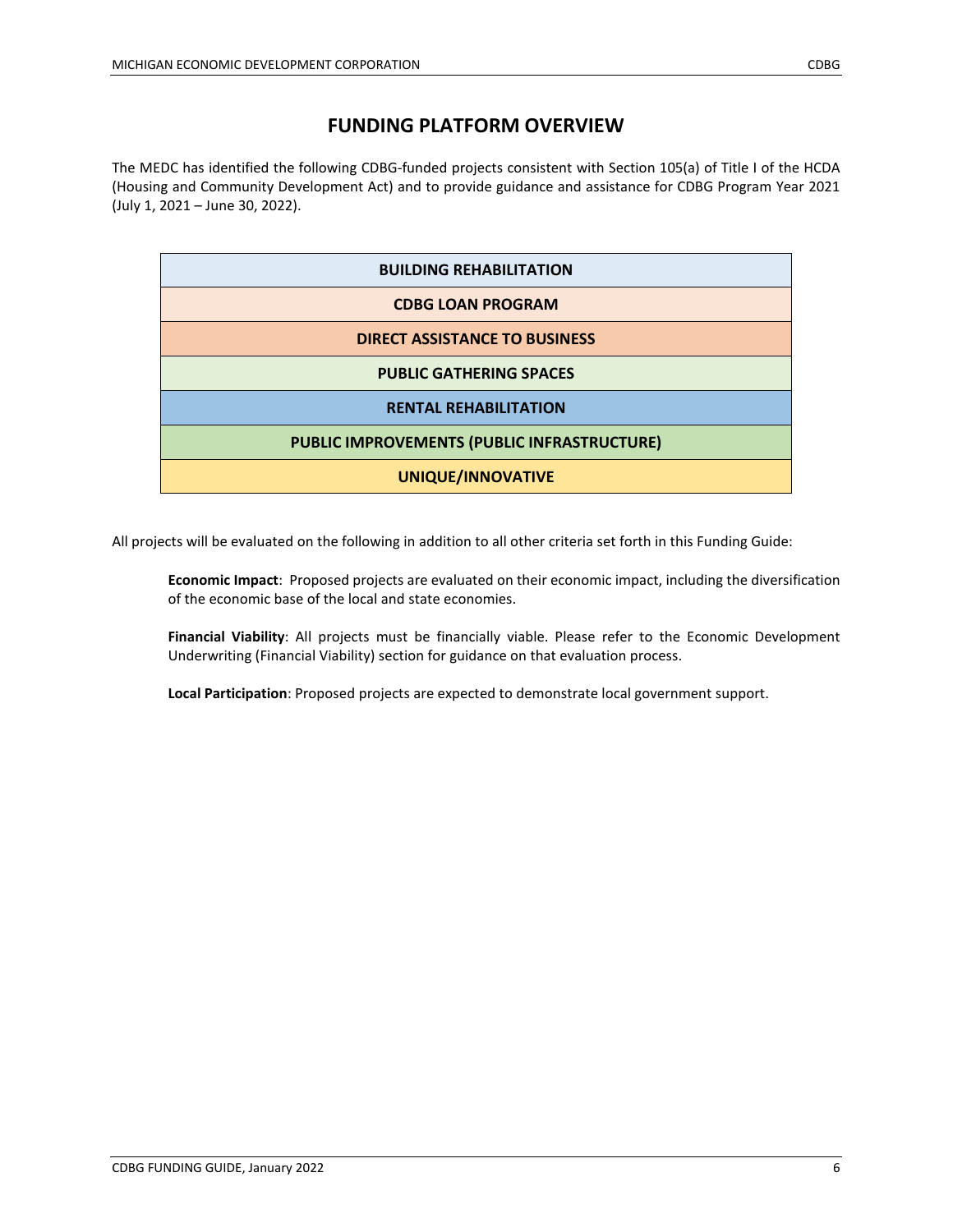## **FUNDING PLATFORM OVERVIEW**

The MEDC has identified the following CDBG-funded projects consistent with Section 105(a) of Title I of the HCDA (Housing and Community Development Act) and to provide guidance and assistance for CDBG Program Year 2021 (July 1, 2021 – June 30, 2022).

| <b>BUILDING REHABILITATION</b>              |  |
|---------------------------------------------|--|
| <b>CDBG LOAN PROGRAM</b>                    |  |
| <b>DIRECT ASSISTANCE TO BUSINESS</b>        |  |
| <b>PUBLIC GATHERING SPACES</b>              |  |
| <b>RENTAL REHABILITATION</b>                |  |
| PUBLIC IMPROVEMENTS (PUBLIC INFRASTRUCTURE) |  |
| <b>UNIQUE/INNOVATIVE</b>                    |  |

All projects will be evaluated on the following in addition to all other criteria set forth in this Funding Guide:

**Economic Impact**: Proposed projects are evaluated on their economic impact, including the diversification of the economic base of the local and state economies.

**Financial Viability**: All projects must be financially viable. Please refer to the Economic Development Underwriting (Financial Viability) section for guidance on that evaluation process.

**Local Participation**: Proposed projects are expected to demonstrate local government support.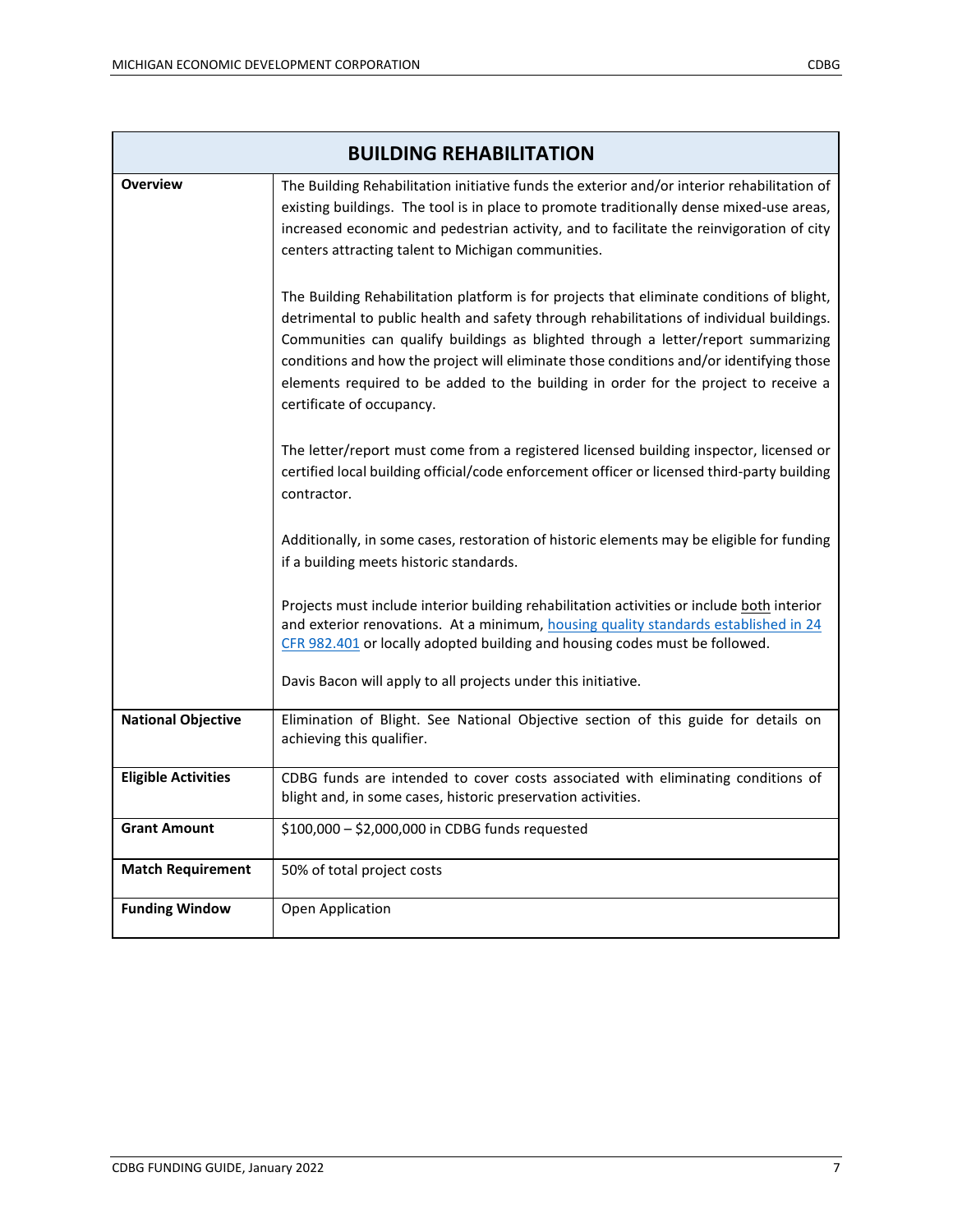| <b>BUILDING REHABILITATION</b> |                                                                                                                                                                                                                                                                                                                                                                                                                                                                                           |
|--------------------------------|-------------------------------------------------------------------------------------------------------------------------------------------------------------------------------------------------------------------------------------------------------------------------------------------------------------------------------------------------------------------------------------------------------------------------------------------------------------------------------------------|
| <b>Overview</b>                | The Building Rehabilitation initiative funds the exterior and/or interior rehabilitation of<br>existing buildings. The tool is in place to promote traditionally dense mixed-use areas,<br>increased economic and pedestrian activity, and to facilitate the reinvigoration of city<br>centers attracting talent to Michigan communities.                                                                                                                                                 |
|                                | The Building Rehabilitation platform is for projects that eliminate conditions of blight,<br>detrimental to public health and safety through rehabilitations of individual buildings.<br>Communities can qualify buildings as blighted through a letter/report summarizing<br>conditions and how the project will eliminate those conditions and/or identifying those<br>elements required to be added to the building in order for the project to receive a<br>certificate of occupancy. |
|                                | The letter/report must come from a registered licensed building inspector, licensed or<br>certified local building official/code enforcement officer or licensed third-party building<br>contractor.                                                                                                                                                                                                                                                                                      |
|                                | Additionally, in some cases, restoration of historic elements may be eligible for funding<br>if a building meets historic standards.                                                                                                                                                                                                                                                                                                                                                      |
|                                | Projects must include interior building rehabilitation activities or include both interior<br>and exterior renovations. At a minimum, housing quality standards established in 24<br>CFR 982.401 or locally adopted building and housing codes must be followed.                                                                                                                                                                                                                          |
|                                | Davis Bacon will apply to all projects under this initiative.                                                                                                                                                                                                                                                                                                                                                                                                                             |
| <b>National Objective</b>      | Elimination of Blight. See National Objective section of this guide for details on<br>achieving this qualifier.                                                                                                                                                                                                                                                                                                                                                                           |
| <b>Eligible Activities</b>     | CDBG funds are intended to cover costs associated with eliminating conditions of<br>blight and, in some cases, historic preservation activities.                                                                                                                                                                                                                                                                                                                                          |
| <b>Grant Amount</b>            | \$100,000 - \$2,000,000 in CDBG funds requested                                                                                                                                                                                                                                                                                                                                                                                                                                           |
| <b>Match Requirement</b>       | 50% of total project costs                                                                                                                                                                                                                                                                                                                                                                                                                                                                |
| <b>Funding Window</b>          | Open Application                                                                                                                                                                                                                                                                                                                                                                                                                                                                          |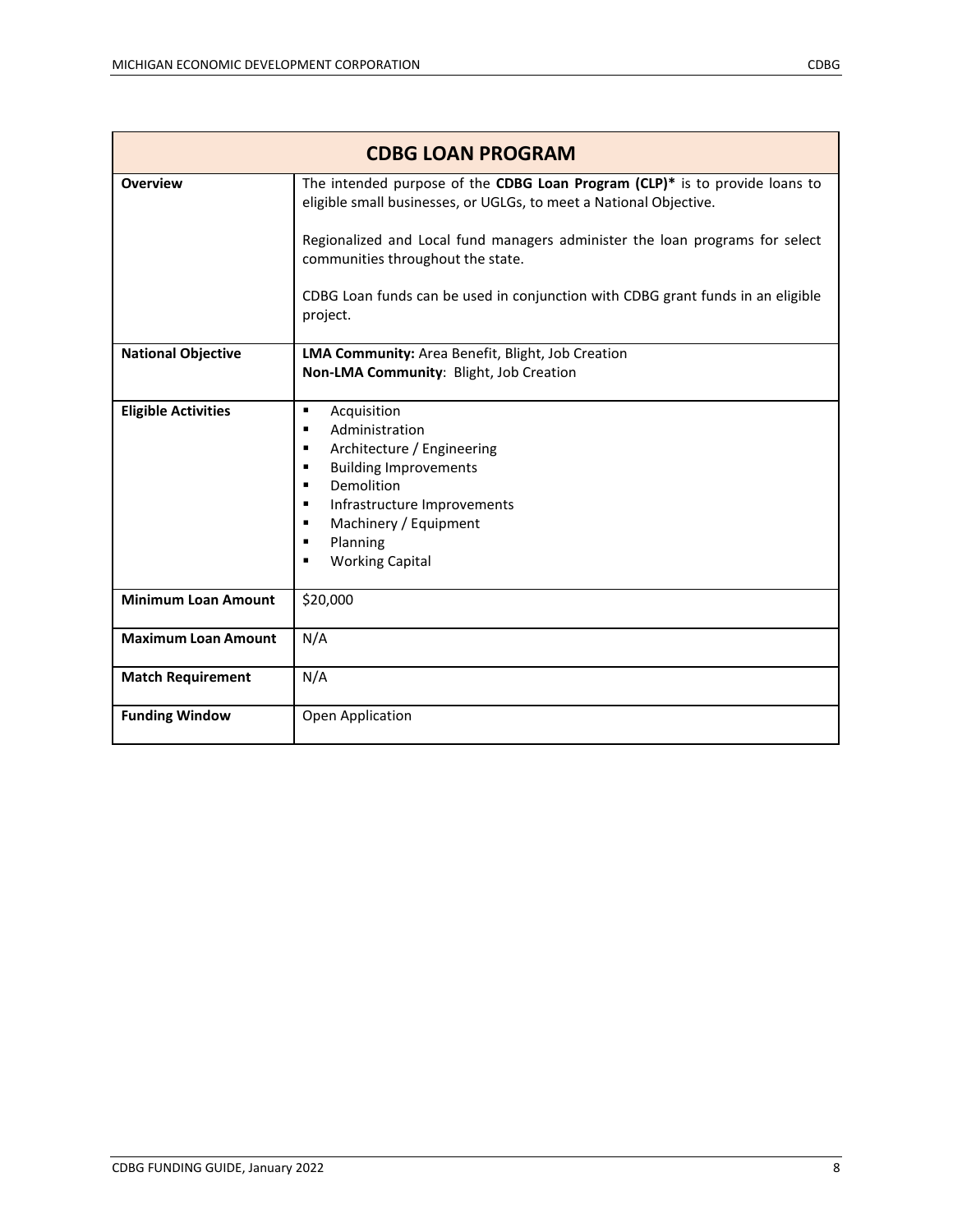| <b>CDBG LOAN PROGRAM</b>   |                                                                                                                                                                                                                                                                   |
|----------------------------|-------------------------------------------------------------------------------------------------------------------------------------------------------------------------------------------------------------------------------------------------------------------|
| <b>Overview</b>            | The intended purpose of the CDBG Loan Program (CLP)* is to provide loans to<br>eligible small businesses, or UGLGs, to meet a National Objective.                                                                                                                 |
|                            | Regionalized and Local fund managers administer the loan programs for select<br>communities throughout the state.                                                                                                                                                 |
|                            | CDBG Loan funds can be used in conjunction with CDBG grant funds in an eligible<br>project.                                                                                                                                                                       |
| <b>National Objective</b>  | LMA Community: Area Benefit, Blight, Job Creation<br>Non-LMA Community: Blight, Job Creation                                                                                                                                                                      |
| <b>Eligible Activities</b> | Acquisition<br>٠<br>Administration<br>٠<br>Architecture / Engineering<br>٠<br><b>Building Improvements</b><br>٠<br>Demolition<br>٠<br>Infrastructure Improvements<br>٠<br>Machinery / Equipment<br>$\blacksquare$<br>Planning<br>٠<br><b>Working Capital</b><br>٠ |
| <b>Minimum Loan Amount</b> | \$20,000                                                                                                                                                                                                                                                          |
| <b>Maximum Loan Amount</b> | N/A                                                                                                                                                                                                                                                               |
| <b>Match Requirement</b>   | N/A                                                                                                                                                                                                                                                               |
| <b>Funding Window</b>      | Open Application                                                                                                                                                                                                                                                  |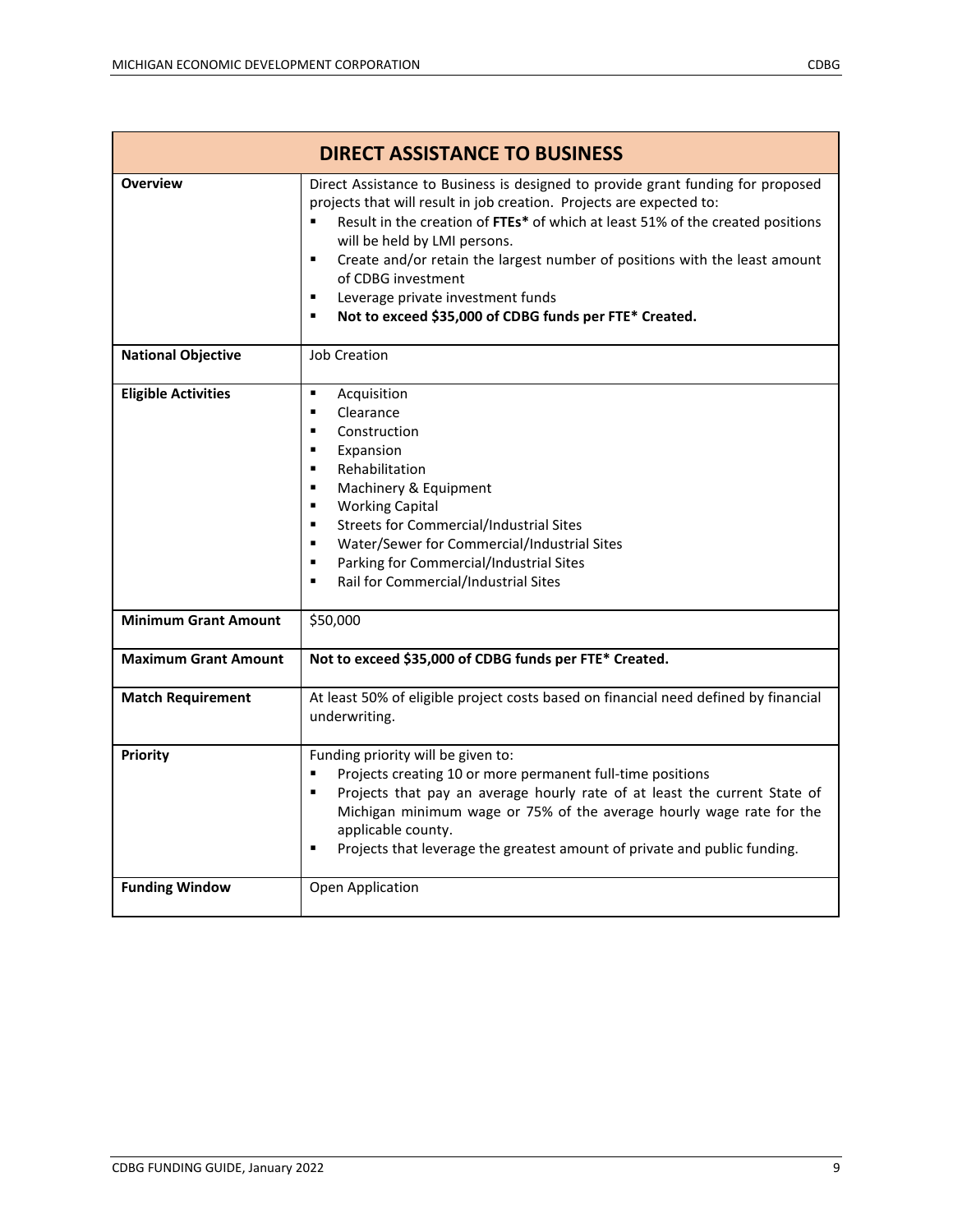| <b>DIRECT ASSISTANCE TO BUSINESS</b> |                                                                                                                                                                                                                                                                                                                                                                                                                                                                                                                            |
|--------------------------------------|----------------------------------------------------------------------------------------------------------------------------------------------------------------------------------------------------------------------------------------------------------------------------------------------------------------------------------------------------------------------------------------------------------------------------------------------------------------------------------------------------------------------------|
| <b>Overview</b>                      | Direct Assistance to Business is designed to provide grant funding for proposed<br>projects that will result in job creation. Projects are expected to:<br>Result in the creation of FTEs* of which at least 51% of the created positions<br>$\blacksquare$<br>will be held by LMI persons.<br>Create and/or retain the largest number of positions with the least amount<br>$\blacksquare$<br>of CDBG investment<br>Leverage private investment funds<br>٠<br>Not to exceed \$35,000 of CDBG funds per FTE* Created.<br>٠ |
| <b>National Objective</b>            | <b>Job Creation</b>                                                                                                                                                                                                                                                                                                                                                                                                                                                                                                        |
| <b>Eligible Activities</b>           | Acquisition<br>$\blacksquare$<br>Clearance<br>$\blacksquare$<br>Construction<br>$\blacksquare$<br>Expansion<br>٠<br>Rehabilitation<br>٠<br>Machinery & Equipment<br><b>Working Capital</b><br>٠<br><b>Streets for Commercial/Industrial Sites</b><br>$\blacksquare$<br>Water/Sewer for Commercial/Industrial Sites<br>٠<br>Parking for Commercial/Industrial Sites<br>$\blacksquare$<br>Rail for Commercial/Industrial Sites<br>$\blacksquare$                                                                             |
| <b>Minimum Grant Amount</b>          | \$50,000                                                                                                                                                                                                                                                                                                                                                                                                                                                                                                                   |
| <b>Maximum Grant Amount</b>          | Not to exceed \$35,000 of CDBG funds per FTE* Created.                                                                                                                                                                                                                                                                                                                                                                                                                                                                     |
| <b>Match Requirement</b>             | At least 50% of eligible project costs based on financial need defined by financial<br>underwriting.                                                                                                                                                                                                                                                                                                                                                                                                                       |
| Priority                             | Funding priority will be given to:<br>Projects creating 10 or more permanent full-time positions<br>$\blacksquare$<br>Projects that pay an average hourly rate of at least the current State of<br>٠<br>Michigan minimum wage or 75% of the average hourly wage rate for the<br>applicable county.<br>Projects that leverage the greatest amount of private and public funding.<br>$\blacksquare$                                                                                                                          |
| <b>Funding Window</b>                | Open Application                                                                                                                                                                                                                                                                                                                                                                                                                                                                                                           |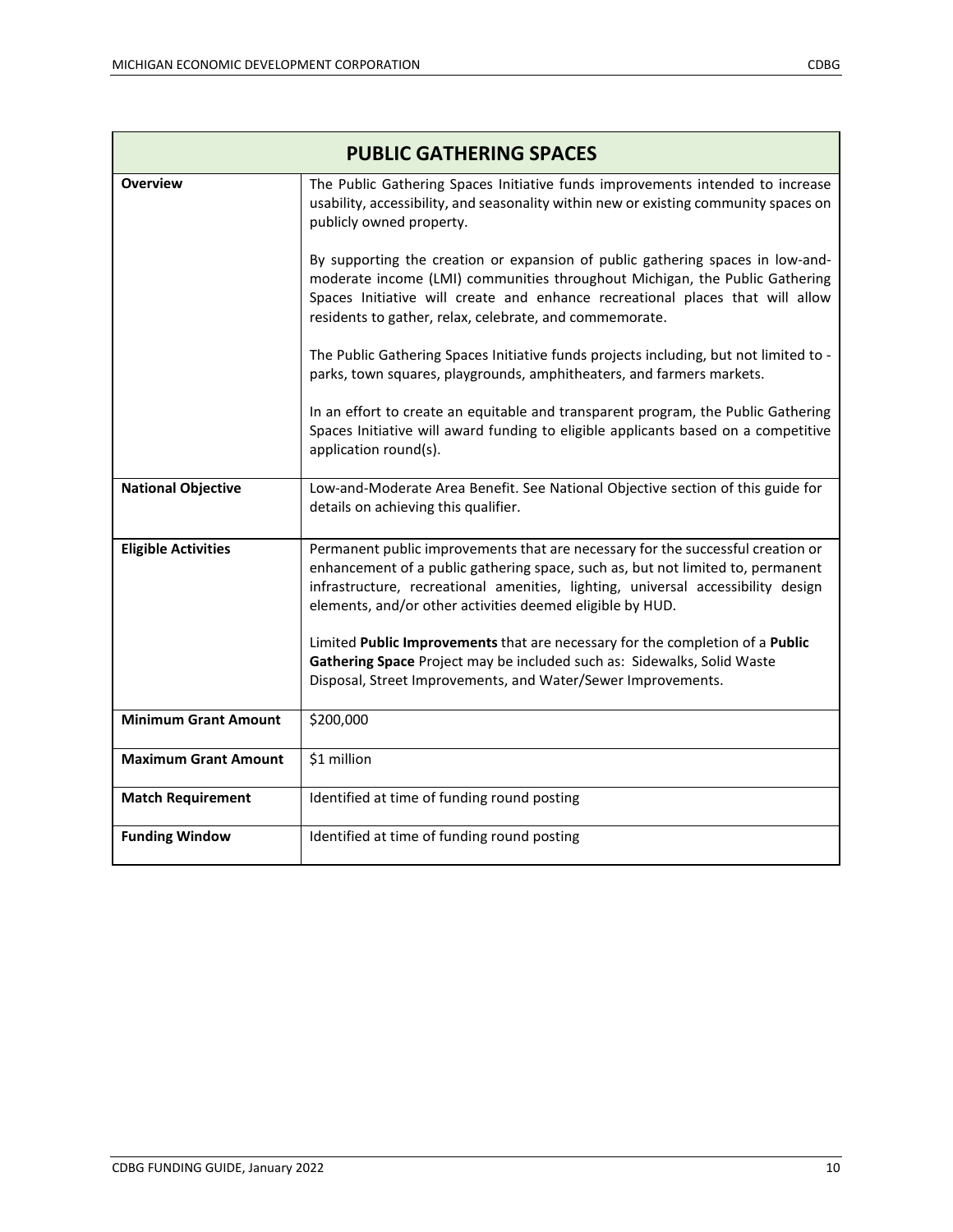| <b>PUBLIC GATHERING SPACES</b> |                                                                                                                                                                                                                                                                                                                     |
|--------------------------------|---------------------------------------------------------------------------------------------------------------------------------------------------------------------------------------------------------------------------------------------------------------------------------------------------------------------|
| <b>Overview</b>                | The Public Gathering Spaces Initiative funds improvements intended to increase<br>usability, accessibility, and seasonality within new or existing community spaces on<br>publicly owned property.                                                                                                                  |
|                                | By supporting the creation or expansion of public gathering spaces in low-and-<br>moderate income (LMI) communities throughout Michigan, the Public Gathering<br>Spaces Initiative will create and enhance recreational places that will allow<br>residents to gather, relax, celebrate, and commemorate.           |
|                                | The Public Gathering Spaces Initiative funds projects including, but not limited to -<br>parks, town squares, playgrounds, amphitheaters, and farmers markets.                                                                                                                                                      |
|                                | In an effort to create an equitable and transparent program, the Public Gathering<br>Spaces Initiative will award funding to eligible applicants based on a competitive<br>application round(s).                                                                                                                    |
| <b>National Objective</b>      | Low-and-Moderate Area Benefit. See National Objective section of this guide for<br>details on achieving this qualifier.                                                                                                                                                                                             |
| <b>Eligible Activities</b>     | Permanent public improvements that are necessary for the successful creation or<br>enhancement of a public gathering space, such as, but not limited to, permanent<br>infrastructure, recreational amenities, lighting, universal accessibility design<br>elements, and/or other activities deemed eligible by HUD. |
|                                | Limited Public Improvements that are necessary for the completion of a Public<br>Gathering Space Project may be included such as: Sidewalks, Solid Waste<br>Disposal, Street Improvements, and Water/Sewer Improvements.                                                                                            |
| <b>Minimum Grant Amount</b>    | \$200,000                                                                                                                                                                                                                                                                                                           |
| <b>Maximum Grant Amount</b>    | \$1 million                                                                                                                                                                                                                                                                                                         |
| <b>Match Requirement</b>       | Identified at time of funding round posting                                                                                                                                                                                                                                                                         |
| <b>Funding Window</b>          | Identified at time of funding round posting                                                                                                                                                                                                                                                                         |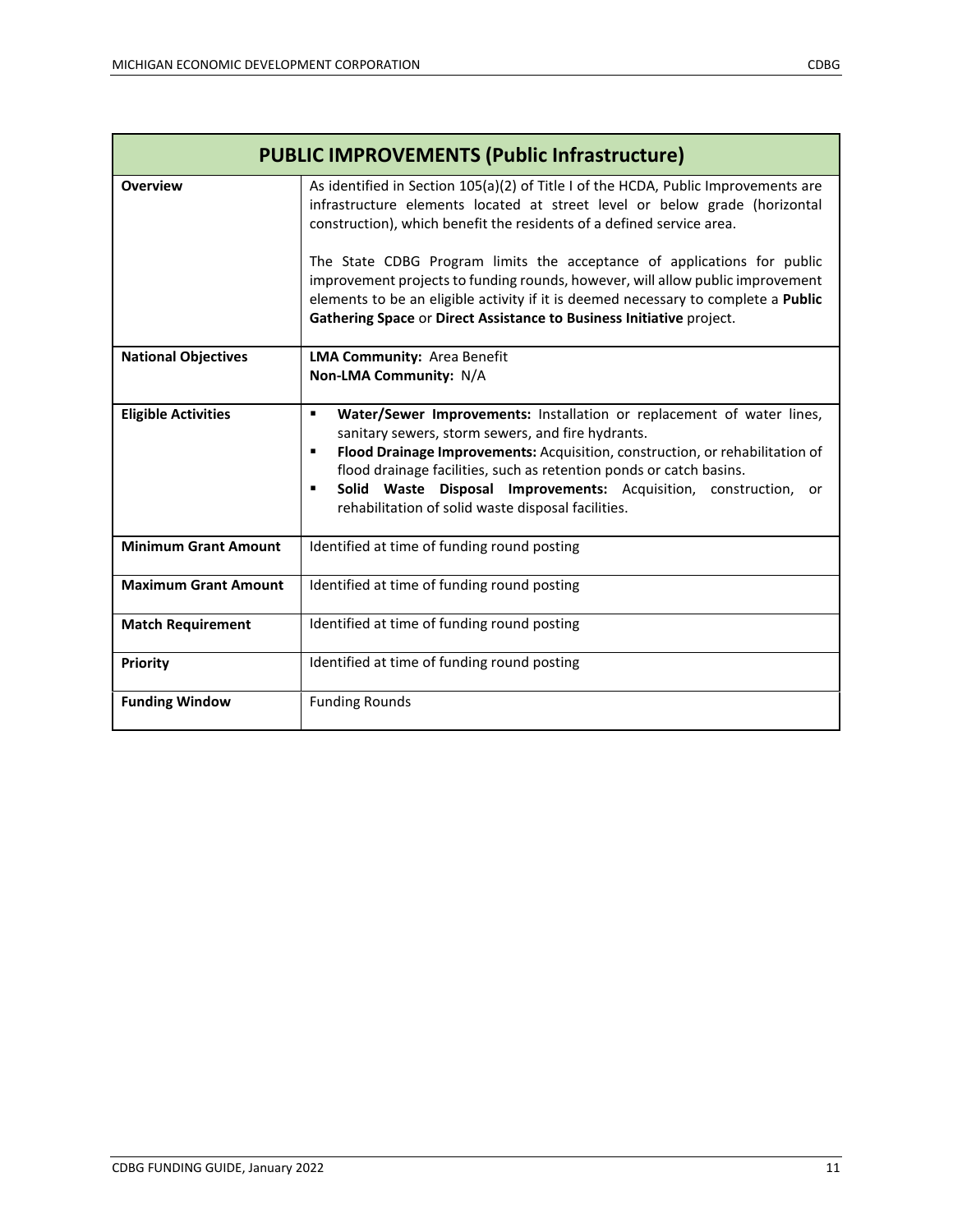| <b>PUBLIC IMPROVEMENTS (Public Infrastructure)</b> |                                                                                                                                                                                                                                                                                                                                                                                                                                                                                                                                                                      |
|----------------------------------------------------|----------------------------------------------------------------------------------------------------------------------------------------------------------------------------------------------------------------------------------------------------------------------------------------------------------------------------------------------------------------------------------------------------------------------------------------------------------------------------------------------------------------------------------------------------------------------|
| <b>Overview</b>                                    | As identified in Section 105(a)(2) of Title I of the HCDA, Public Improvements are<br>infrastructure elements located at street level or below grade (horizontal<br>construction), which benefit the residents of a defined service area.<br>The State CDBG Program limits the acceptance of applications for public<br>improvement projects to funding rounds, however, will allow public improvement<br>elements to be an eligible activity if it is deemed necessary to complete a Public<br>Gathering Space or Direct Assistance to Business Initiative project. |
| <b>National Objectives</b>                         | LMA Community: Area Benefit<br>Non-LMA Community: N/A                                                                                                                                                                                                                                                                                                                                                                                                                                                                                                                |
| <b>Eligible Activities</b>                         | Water/Sewer Improvements: Installation or replacement of water lines,<br>$\blacksquare$<br>sanitary sewers, storm sewers, and fire hydrants.<br>Flood Drainage Improvements: Acquisition, construction, or rehabilitation of<br>٠<br>flood drainage facilities, such as retention ponds or catch basins.<br>Solid Waste Disposal Improvements: Acquisition, construction,<br>$\blacksquare$<br>or<br>rehabilitation of solid waste disposal facilities.                                                                                                              |
| <b>Minimum Grant Amount</b>                        | Identified at time of funding round posting                                                                                                                                                                                                                                                                                                                                                                                                                                                                                                                          |
| <b>Maximum Grant Amount</b>                        | Identified at time of funding round posting                                                                                                                                                                                                                                                                                                                                                                                                                                                                                                                          |
| <b>Match Requirement</b>                           | Identified at time of funding round posting                                                                                                                                                                                                                                                                                                                                                                                                                                                                                                                          |
| <b>Priority</b>                                    | Identified at time of funding round posting                                                                                                                                                                                                                                                                                                                                                                                                                                                                                                                          |
| <b>Funding Window</b>                              | <b>Funding Rounds</b>                                                                                                                                                                                                                                                                                                                                                                                                                                                                                                                                                |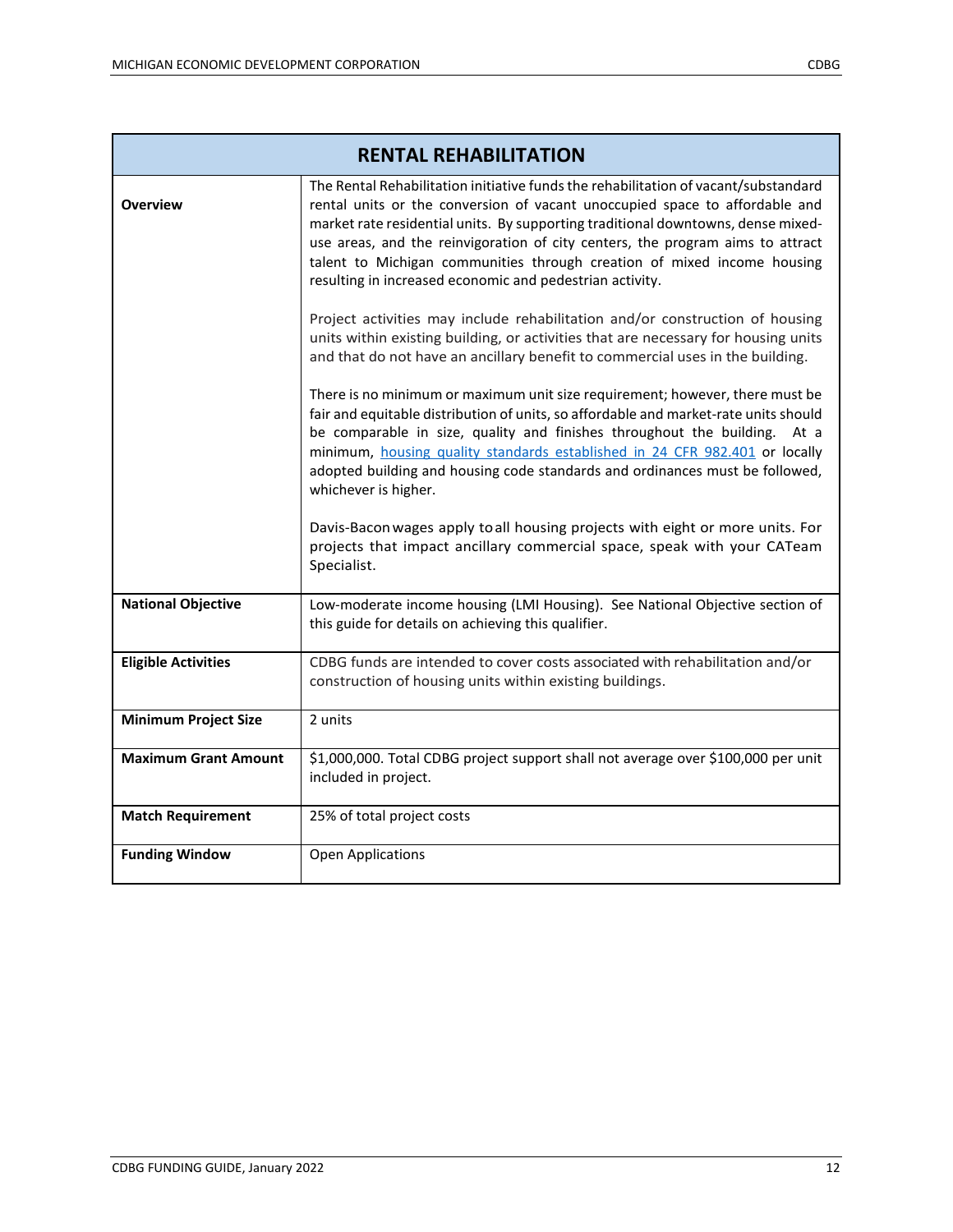| <b>RENTAL REHABILITATION</b> |                                                                                                                                                                                                                                                                                                                                                                                                                                                                                                                                                                                                                                                                                                                                                                                                                                                                                                                                                                                                                                                                                                                                                                                                                                                                                                                                                |
|------------------------------|------------------------------------------------------------------------------------------------------------------------------------------------------------------------------------------------------------------------------------------------------------------------------------------------------------------------------------------------------------------------------------------------------------------------------------------------------------------------------------------------------------------------------------------------------------------------------------------------------------------------------------------------------------------------------------------------------------------------------------------------------------------------------------------------------------------------------------------------------------------------------------------------------------------------------------------------------------------------------------------------------------------------------------------------------------------------------------------------------------------------------------------------------------------------------------------------------------------------------------------------------------------------------------------------------------------------------------------------|
| <b>Overview</b>              | The Rental Rehabilitation initiative funds the rehabilitation of vacant/substandard<br>rental units or the conversion of vacant unoccupied space to affordable and<br>market rate residential units. By supporting traditional downtowns, dense mixed-<br>use areas, and the reinvigoration of city centers, the program aims to attract<br>talent to Michigan communities through creation of mixed income housing<br>resulting in increased economic and pedestrian activity.<br>Project activities may include rehabilitation and/or construction of housing<br>units within existing building, or activities that are necessary for housing units<br>and that do not have an ancillary benefit to commercial uses in the building.<br>There is no minimum or maximum unit size requirement; however, there must be<br>fair and equitable distribution of units, so affordable and market-rate units should<br>be comparable in size, quality and finishes throughout the building. At a<br>minimum, housing quality standards established in 24 CFR 982.401 or locally<br>adopted building and housing code standards and ordinances must be followed,<br>whichever is higher.<br>Davis-Bacon wages apply to all housing projects with eight or more units. For<br>projects that impact ancillary commercial space, speak with your CATeam |
|                              | Specialist.                                                                                                                                                                                                                                                                                                                                                                                                                                                                                                                                                                                                                                                                                                                                                                                                                                                                                                                                                                                                                                                                                                                                                                                                                                                                                                                                    |
| <b>National Objective</b>    | Low-moderate income housing (LMI Housing). See National Objective section of<br>this guide for details on achieving this qualifier.                                                                                                                                                                                                                                                                                                                                                                                                                                                                                                                                                                                                                                                                                                                                                                                                                                                                                                                                                                                                                                                                                                                                                                                                            |
| <b>Eligible Activities</b>   | CDBG funds are intended to cover costs associated with rehabilitation and/or<br>construction of housing units within existing buildings.                                                                                                                                                                                                                                                                                                                                                                                                                                                                                                                                                                                                                                                                                                                                                                                                                                                                                                                                                                                                                                                                                                                                                                                                       |
| <b>Minimum Project Size</b>  | 2 units                                                                                                                                                                                                                                                                                                                                                                                                                                                                                                                                                                                                                                                                                                                                                                                                                                                                                                                                                                                                                                                                                                                                                                                                                                                                                                                                        |
| <b>Maximum Grant Amount</b>  | \$1,000,000. Total CDBG project support shall not average over \$100,000 per unit<br>included in project.                                                                                                                                                                                                                                                                                                                                                                                                                                                                                                                                                                                                                                                                                                                                                                                                                                                                                                                                                                                                                                                                                                                                                                                                                                      |
| <b>Match Requirement</b>     | 25% of total project costs                                                                                                                                                                                                                                                                                                                                                                                                                                                                                                                                                                                                                                                                                                                                                                                                                                                                                                                                                                                                                                                                                                                                                                                                                                                                                                                     |
| <b>Funding Window</b>        | Open Applications                                                                                                                                                                                                                                                                                                                                                                                                                                                                                                                                                                                                                                                                                                                                                                                                                                                                                                                                                                                                                                                                                                                                                                                                                                                                                                                              |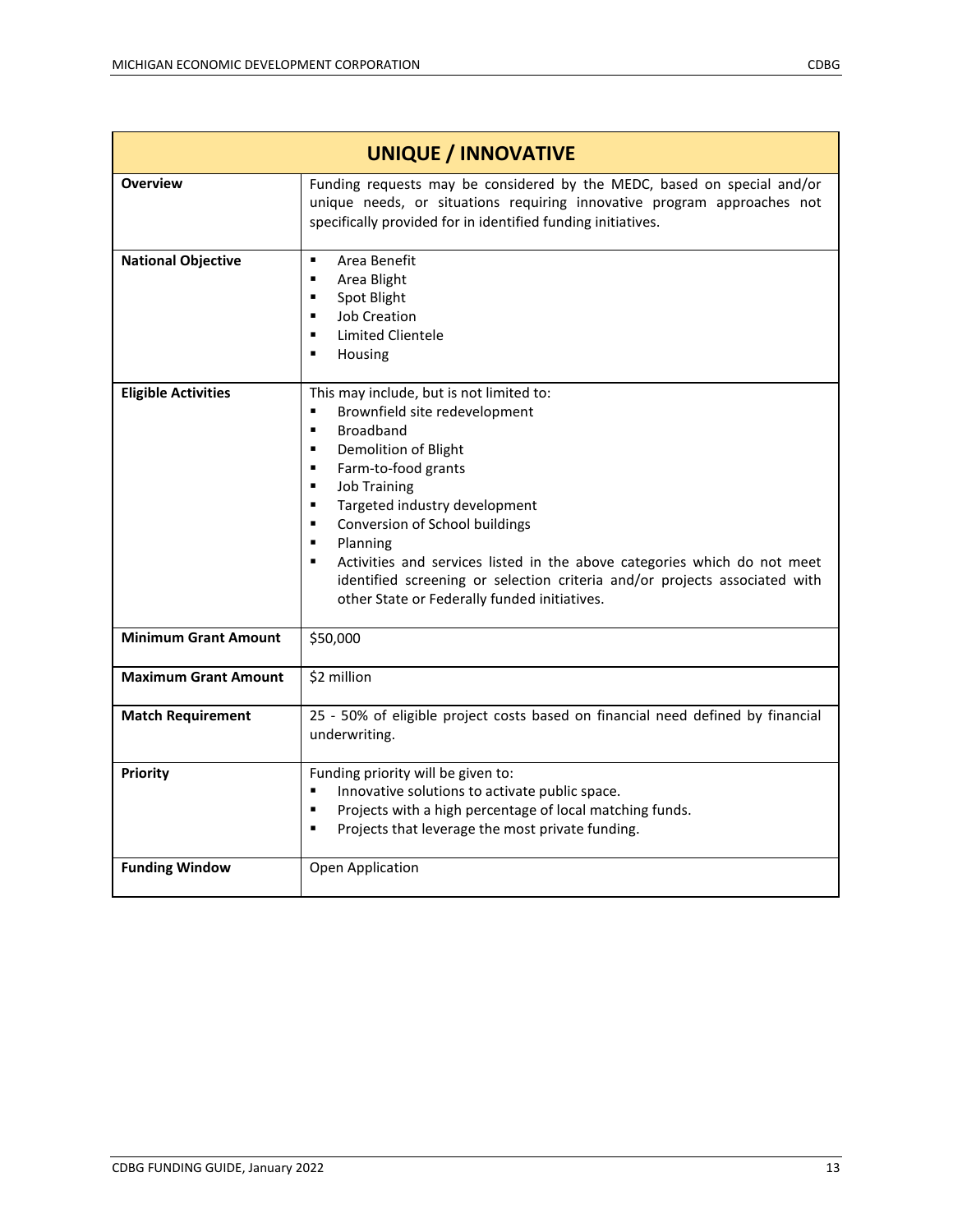| <b>UNIQUE / INNOVATIVE</b>  |                                                                                                                                                                                                                                                                                                                                                                                                                                                                                                                                     |
|-----------------------------|-------------------------------------------------------------------------------------------------------------------------------------------------------------------------------------------------------------------------------------------------------------------------------------------------------------------------------------------------------------------------------------------------------------------------------------------------------------------------------------------------------------------------------------|
| <b>Overview</b>             | Funding requests may be considered by the MEDC, based on special and/or<br>unique needs, or situations requiring innovative program approaches not<br>specifically provided for in identified funding initiatives.                                                                                                                                                                                                                                                                                                                  |
| <b>National Objective</b>   | Area Benefit<br>$\blacksquare$<br>Area Blight<br>٠<br>Spot Blight<br>٠<br><b>Job Creation</b><br>٠<br><b>Limited Clientele</b><br>$\blacksquare$<br>П<br>Housing                                                                                                                                                                                                                                                                                                                                                                    |
| <b>Eligible Activities</b>  | This may include, but is not limited to:<br>Brownfield site redevelopment<br>П<br><b>Broadband</b><br>$\blacksquare$<br>Demolition of Blight<br>$\blacksquare$<br>Farm-to-food grants<br>٠<br><b>Job Training</b><br>٠<br>Targeted industry development<br>٠<br>Conversion of School buildings<br>٠<br>Planning<br>٠<br>Activities and services listed in the above categories which do not meet<br>п<br>identified screening or selection criteria and/or projects associated with<br>other State or Federally funded initiatives. |
| <b>Minimum Grant Amount</b> | \$50,000                                                                                                                                                                                                                                                                                                                                                                                                                                                                                                                            |
| <b>Maximum Grant Amount</b> | \$2 million                                                                                                                                                                                                                                                                                                                                                                                                                                                                                                                         |
| <b>Match Requirement</b>    | 25 - 50% of eligible project costs based on financial need defined by financial<br>underwriting.                                                                                                                                                                                                                                                                                                                                                                                                                                    |
| Priority                    | Funding priority will be given to:<br>Innovative solutions to activate public space.<br>٠<br>Projects with a high percentage of local matching funds.<br>$\blacksquare$<br>Projects that leverage the most private funding.<br>٠                                                                                                                                                                                                                                                                                                    |
| <b>Funding Window</b>       | Open Application                                                                                                                                                                                                                                                                                                                                                                                                                                                                                                                    |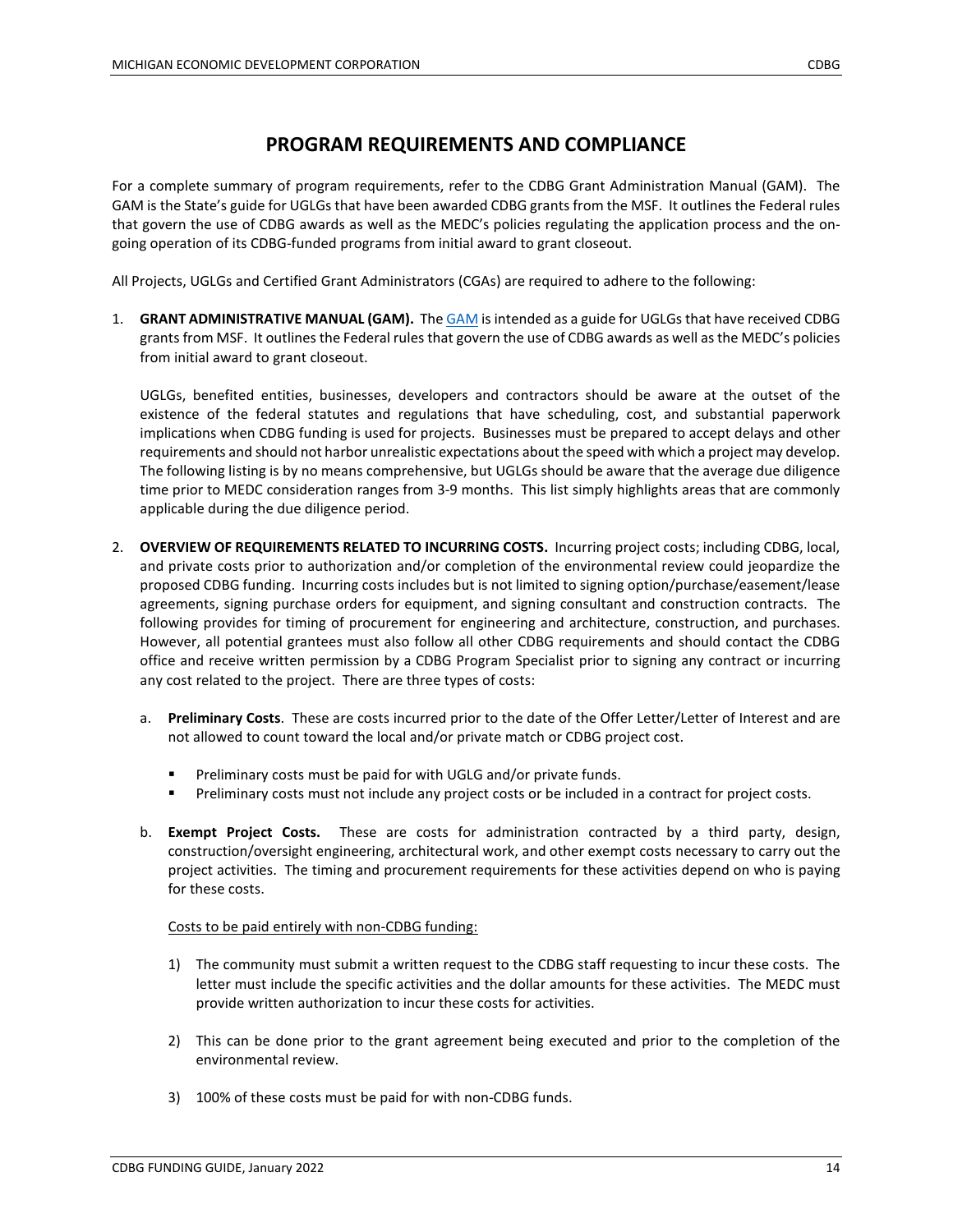#### **PROGRAM REQUIREMENTS AND COMPLIANCE**

For a complete summary of program requirements, refer to the CDBG Grant Administration Manual (GAM). The GAM is the State's guide for UGLGs that have been awarded CDBG grants from the MSF. It outlines the Federal rules that govern the use of CDBG awards as well as the MEDC's policies regulating the application process and the ongoing operation of its CDBG-funded programs from initial award to grant closeout.

All Projects, UGLGs and Certified Grant Administrators (CGAs) are required to adhere to the following:

1. **GRANT ADMINISTRATIVE MANUAL (GAM).** Th[e GAM](https://www.miplace.org/programs/community-development-block-grant/grant-administration-manual/) is intended as a guide for UGLGs that have received CDBG grants from MSF. It outlines the Federal rules that govern the use of CDBG awards as well as the MEDC's policies from initial award to grant closeout.

UGLGs, benefited entities, businesses, developers and contractors should be aware at the outset of the existence of the federal statutes and regulations that have scheduling, cost, and substantial paperwork implications when CDBG funding is used for projects. Businesses must be prepared to accept delays and other requirements and should not harbor unrealistic expectations about the speed with which a project may develop. The following listing is by no means comprehensive, but UGLGs should be aware that the average due diligence time prior to MEDC consideration ranges from 3-9 months. This list simply highlights areas that are commonly applicable during the due diligence period.

- 2. **OVERVIEW OF REQUIREMENTS RELATED TO INCURRING COSTS.** Incurring project costs; including CDBG, local, and private costs prior to authorization and/or completion of the environmental review could jeopardize the proposed CDBG funding. Incurring costs includes but is not limited to signing option/purchase/easement/lease agreements, signing purchase orders for equipment, and signing consultant and construction contracts. The following provides for timing of procurement for engineering and architecture, construction, and purchases. However, all potential grantees must also follow all other CDBG requirements and should contact the CDBG office and receive written permission by a CDBG Program Specialist prior to signing any contract or incurring any cost related to the project. There are three types of costs:
	- a. **Preliminary Costs**. These are costs incurred prior to the date of the Offer Letter/Letter of Interest and are not allowed to count toward the local and/or private match or CDBG project cost.
		- **Preliminary costs must be paid for with UGLG and/or private funds.**
		- **Preliminary costs must not include any project costs or be included in a contract for project costs.**
	- b. **Exempt Project Costs.** These are costs for administration contracted by a third party, design, construction/oversight engineering, architectural work, and other exempt costs necessary to carry out the project activities. The timing and procurement requirements for these activities depend on who is paying for these costs.

#### Costs to be paid entirely with non-CDBG funding:

- 1) The community must submit a written request to the CDBG staff requesting to incur these costs. The letter must include the specific activities and the dollar amounts for these activities. The MEDC must provide written authorization to incur these costs for activities.
- 2) This can be done prior to the grant agreement being executed and prior to the completion of the environmental review.
- 3) 100% of these costs must be paid for with non-CDBG funds.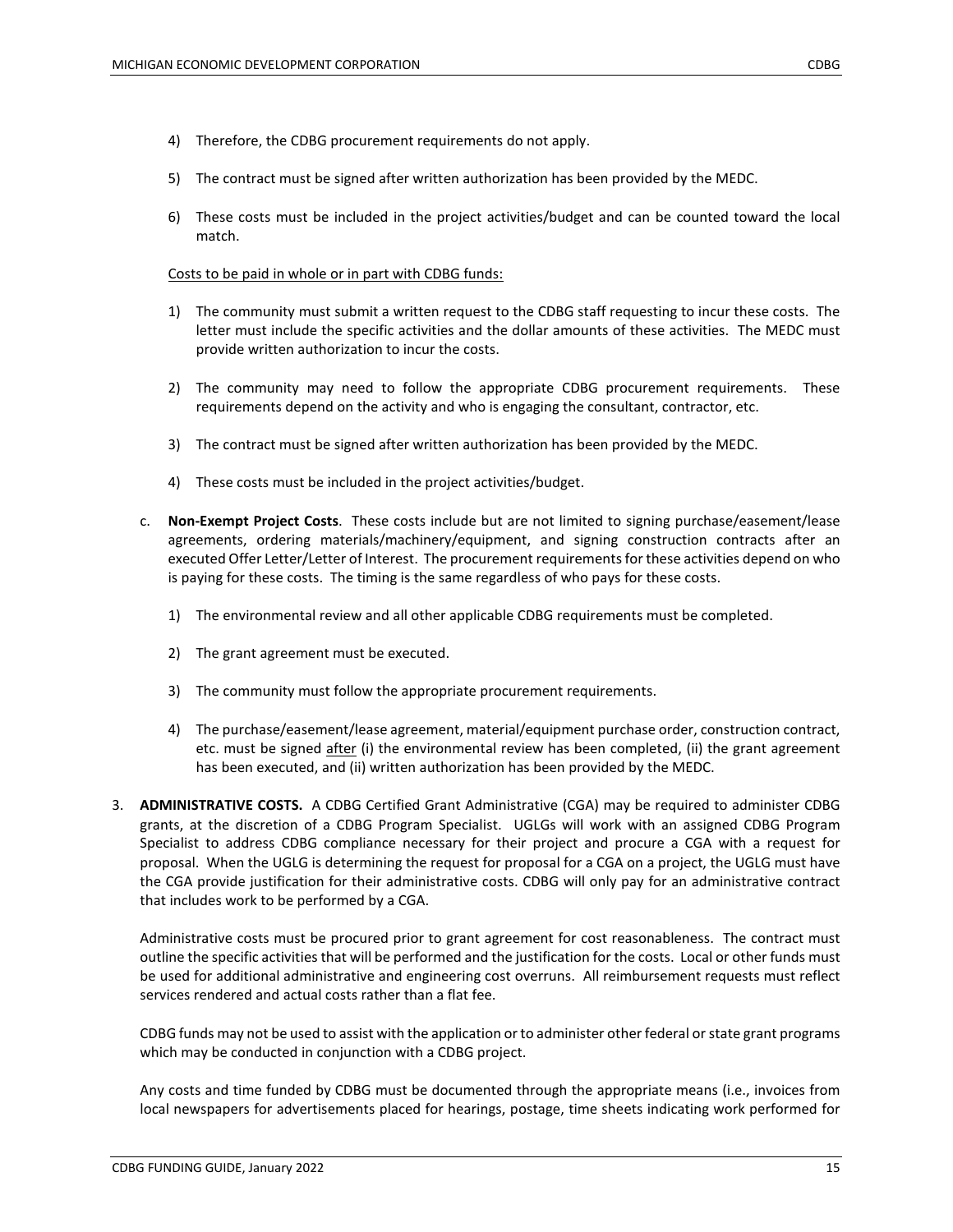- 4) Therefore, the CDBG procurement requirements do not apply.
- 5) The contract must be signed after written authorization has been provided by the MEDC.
- 6) These costs must be included in the project activities/budget and can be counted toward the local match.

#### Costs to be paid in whole or in part with CDBG funds:

- 1) The community must submit a written request to the CDBG staff requesting to incur these costs. The letter must include the specific activities and the dollar amounts of these activities. The MEDC must provide written authorization to incur the costs.
- 2) The community may need to follow the appropriate CDBG procurement requirements. These requirements depend on the activity and who is engaging the consultant, contractor, etc.
- 3) The contract must be signed after written authorization has been provided by the MEDC.
- 4) These costs must be included in the project activities/budget.
- c. **Non-Exempt Project Costs**. These costs include but are not limited to signing purchase/easement/lease agreements, ordering materials/machinery/equipment, and signing construction contracts after an executed Offer Letter/Letter of Interest. The procurement requirements for these activities depend on who is paying for these costs. The timing is the same regardless of who pays for these costs.
	- 1) The environmental review and all other applicable CDBG requirements must be completed.
	- 2) The grant agreement must be executed.
	- 3) The community must follow the appropriate procurement requirements.
	- 4) The purchase/easement/lease agreement, material/equipment purchase order, construction contract, etc. must be signed after (i) the environmental review has been completed, (ii) the grant agreement has been executed, and (ii) written authorization has been provided by the MEDC.
- 3. **ADMINISTRATIVE COSTS.** A CDBG Certified Grant Administrative (CGA) may be required to administer CDBG grants, at the discretion of a CDBG Program Specialist. UGLGs will work with an assigned CDBG Program Specialist to address CDBG compliance necessary for their project and procure a CGA with a request for proposal. When the UGLG is determining the request for proposal for a CGA on a project, the UGLG must have the CGA provide justification for their administrative costs. CDBG will only pay for an administrative contract that includes work to be performed by a CGA.

Administrative costs must be procured prior to grant agreement for cost reasonableness. The contract must outline the specific activities that will be performed and the justification for the costs. Local or other funds must be used for additional administrative and engineering cost overruns. All reimbursement requests must reflect services rendered and actual costs rather than a flat fee.

CDBG funds may not be used to assist with the application or to administer other federal or state grant programs which may be conducted in conjunction with a CDBG project.

Any costs and time funded by CDBG must be documented through the appropriate means (i.e., invoices from local newspapers for advertisements placed for hearings, postage, time sheets indicating work performed for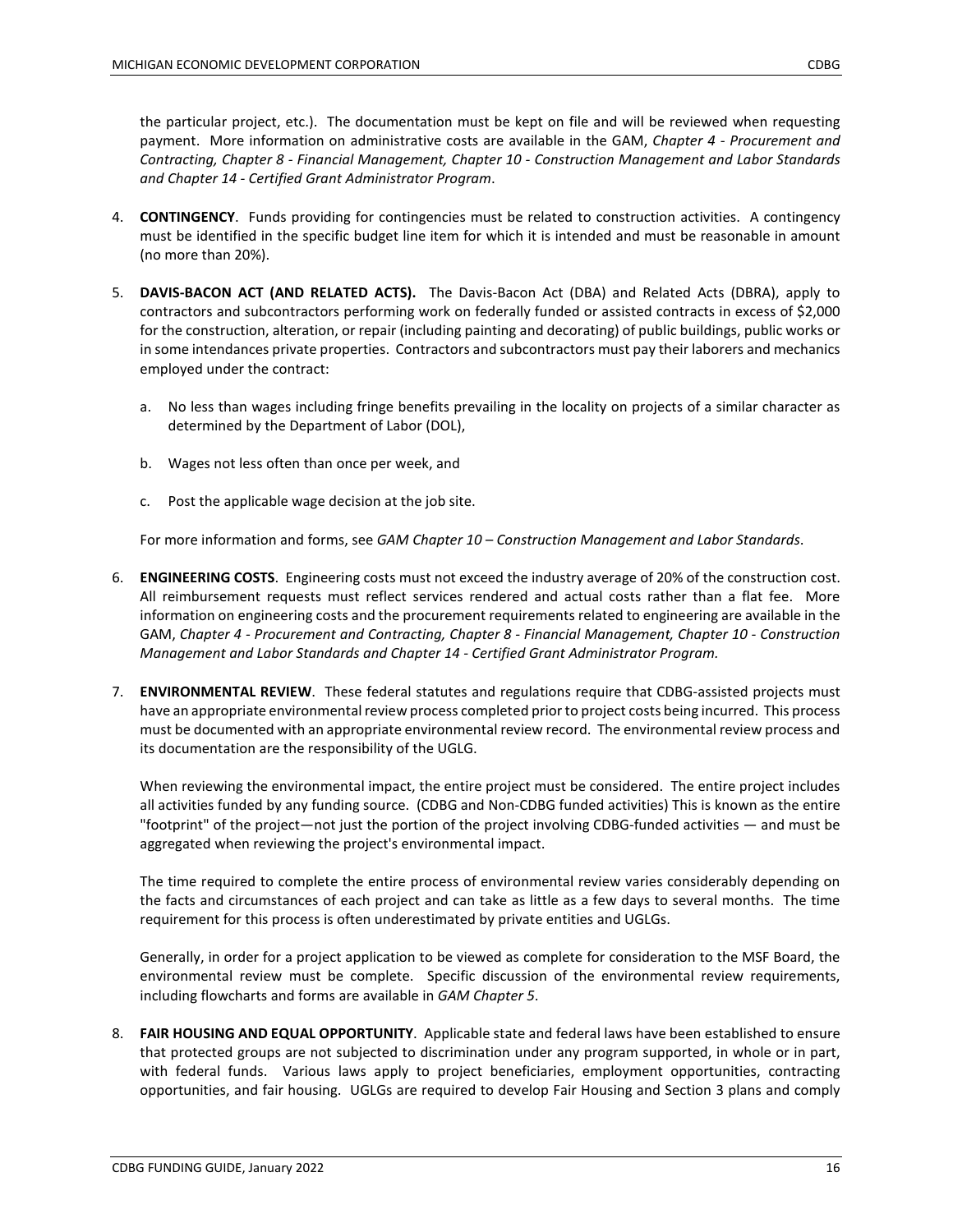the particular project, etc.). The documentation must be kept on file and will be reviewed when requesting payment. More information on administrative costs are available in the GAM, *Chapter 4 - Procurement and Contracting, Chapter 8 - Financial Management, Chapter 10 - Construction Management and Labor Standards and Chapter 14 - Certified Grant Administrator Program*.

- 4. **CONTINGENCY**. Funds providing for contingencies must be related to construction activities. A contingency must be identified in the specific budget line item for which it is intended and must be reasonable in amount (no more than 20%).
- 5. **DAVIS-BACON ACT (AND RELATED ACTS).** The Davis-Bacon Act (DBA) and Related Acts (DBRA), apply to contractors and subcontractors performing work on federally funded or assisted contracts in excess of \$2,000 for the construction, alteration, or repair (including painting and decorating) of public buildings, public works or in some intendances private properties. Contractors and subcontractors must pay their laborers and mechanics employed under the contract:
	- a. No less than wages including fringe benefits prevailing in the locality on projects of a similar character as determined by the Department of Labor (DOL),
	- b. Wages not less often than once per week, and
	- c. Post the applicable wage decision at the job site.

For more information and forms, see *GAM Chapter 10 – Construction Management and Labor Standards*.

- 6. **ENGINEERING COSTS**. Engineering costs must not exceed the industry average of 20% of the construction cost. All reimbursement requests must reflect services rendered and actual costs rather than a flat fee. More information on engineering costs and the procurement requirements related to engineering are available in the GAM, *Chapter 4 - Procurement and Contracting, Chapter 8 - Financial Management, Chapter 10 - Construction Management and Labor Standards and Chapter 14 - Certified Grant Administrator Program.*
- 7. **ENVIRONMENTAL REVIEW**. These federal statutes and regulations require that CDBG-assisted projects must have an appropriate environmental review process completed prior to project costs being incurred. This process must be documented with an appropriate environmental review record. The environmental review process and its documentation are the responsibility of the UGLG.

When reviewing the environmental impact, the entire project must be considered. The entire project includes all activities funded by any funding source. (CDBG and Non-CDBG funded activities) This is known as the entire "footprint" of the project—not just the portion of the project involving CDBG-funded activities — and must be aggregated when reviewing the project's environmental impact.

The time required to complete the entire process of environmental review varies considerably depending on the facts and circumstances of each project and can take as little as a few days to several months. The time requirement for this process is often underestimated by private entities and UGLGs.

Generally, in order for a project application to be viewed as complete for consideration to the MSF Board, the environmental review must be complete. Specific discussion of the environmental review requirements, including flowcharts and forms are available in *GAM Chapter 5*.

8. **FAIR HOUSING AND EQUAL OPPORTUNITY**. Applicable state and federal laws have been established to ensure that protected groups are not subjected to discrimination under any program supported, in whole or in part, with federal funds. Various laws apply to project beneficiaries, employment opportunities, contracting opportunities, and fair housing. UGLGs are required to develop Fair Housing and Section 3 plans and comply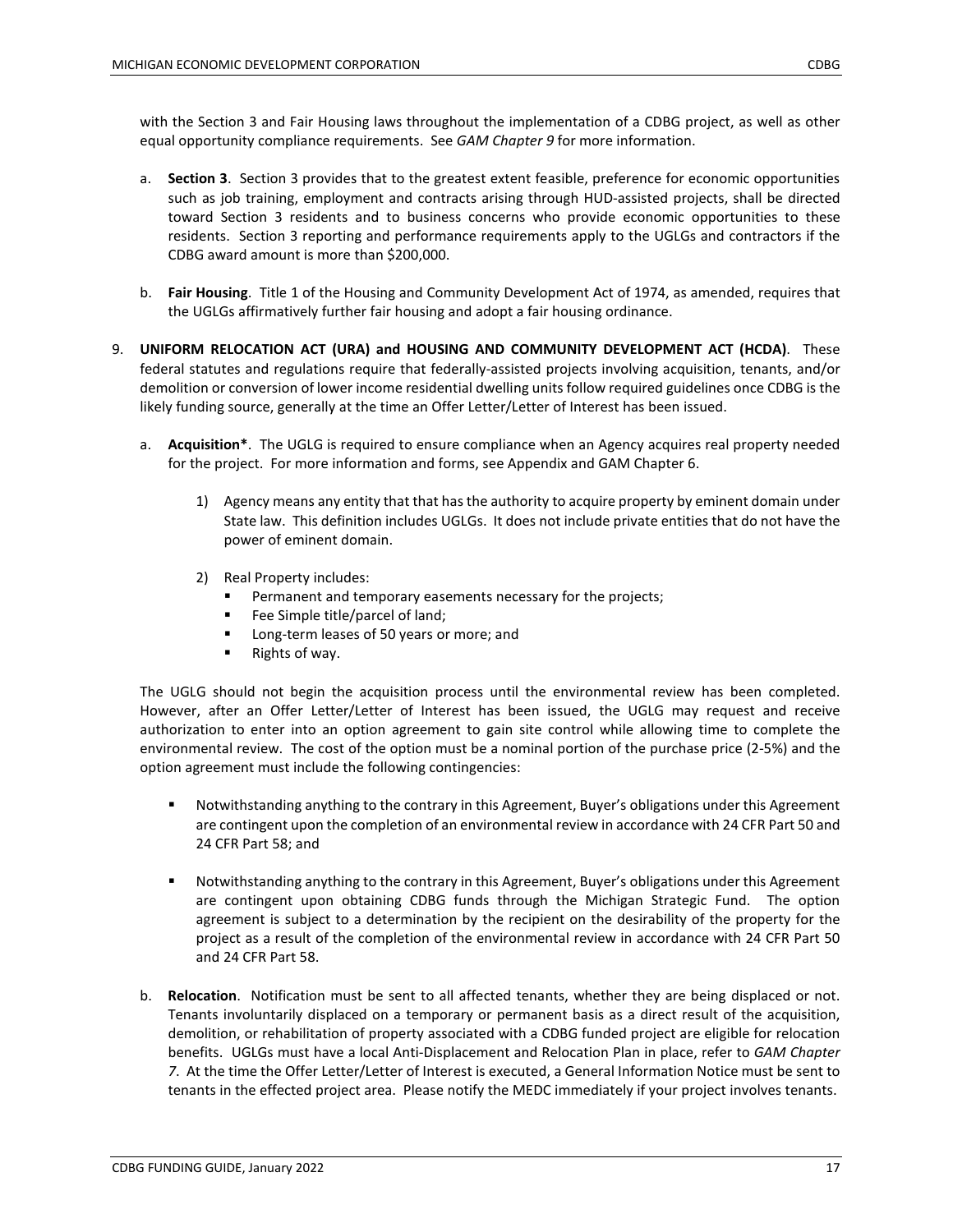with the Section 3 and Fair Housing laws throughout the implementation of a CDBG project, as well as other equal opportunity compliance requirements. See *GAM Chapter 9* for more information.

- a. **Section 3**. Section 3 provides that to the greatest extent feasible, preference for economic opportunities such as job training, employment and contracts arising through HUD-assisted projects, shall be directed toward Section 3 residents and to business concerns who provide economic opportunities to these residents. Section 3 reporting and performance requirements apply to the UGLGs and contractors if the CDBG award amount is more than \$200,000.
- b. **Fair Housing**. Title 1 of the Housing and Community Development Act of 1974, as amended, requires that the UGLGs affirmatively further fair housing and adopt a fair housing ordinance.
- 9. **UNIFORM RELOCATION ACT (URA) and HOUSING AND COMMUNITY DEVELOPMENT ACT (HCDA)**. These federal statutes and regulations require that federally-assisted projects involving acquisition, tenants, and/or demolition or conversion of lower income residential dwelling units follow required guidelines once CDBG is the likely funding source, generally at the time an Offer Letter/Letter of Interest has been issued.
	- a. **Acquisition\***. The UGLG is required to ensure compliance when an Agency acquires real property needed for the project. For more information and forms, see Appendix and GAM Chapter 6.
		- 1) Agency means any entity that that has the authority to acquire property by eminent domain under State law. This definition includes UGLGs. It does not include private entities that do not have the power of eminent domain.
		- 2) Real Property includes:
			- Permanent and temporary easements necessary for the projects;
			- Fee Simple title/parcel of land;
			- **Long-term leases of 50 years or more; and**
			- Rights of way.

The UGLG should not begin the acquisition process until the environmental review has been completed. However, after an Offer Letter/Letter of Interest has been issued, the UGLG may request and receive authorization to enter into an option agreement to gain site control while allowing time to complete the environmental review. The cost of the option must be a nominal portion of the purchase price (2-5%) and the option agreement must include the following contingencies:

- Notwithstanding anything to the contrary in this Agreement, Buyer's obligations under this Agreement are contingent upon the completion of an environmental review in accordance with 24 CFR Part 50 and 24 CFR Part 58; and
- Notwithstanding anything to the contrary in this Agreement, Buyer's obligations under this Agreement are contingent upon obtaining CDBG funds through the Michigan Strategic Fund. The option agreement is subject to a determination by the recipient on the desirability of the property for the project as a result of the completion of the environmental review in accordance with 24 CFR Part 50 and 24 CFR Part 58.
- b. **Relocation**. Notification must be sent to all affected tenants, whether they are being displaced or not. Tenants involuntarily displaced on a temporary or permanent basis as a direct result of the acquisition, demolition, or rehabilitation of property associated with a CDBG funded project are eligible for relocation benefits. UGLGs must have a local Anti-Displacement and Relocation Plan in place, refer to *GAM Chapter 7*. At the time the Offer Letter/Letter of Interest is executed, a General Information Notice must be sent to tenants in the effected project area. Please notify the MEDC immediately if your project involves tenants.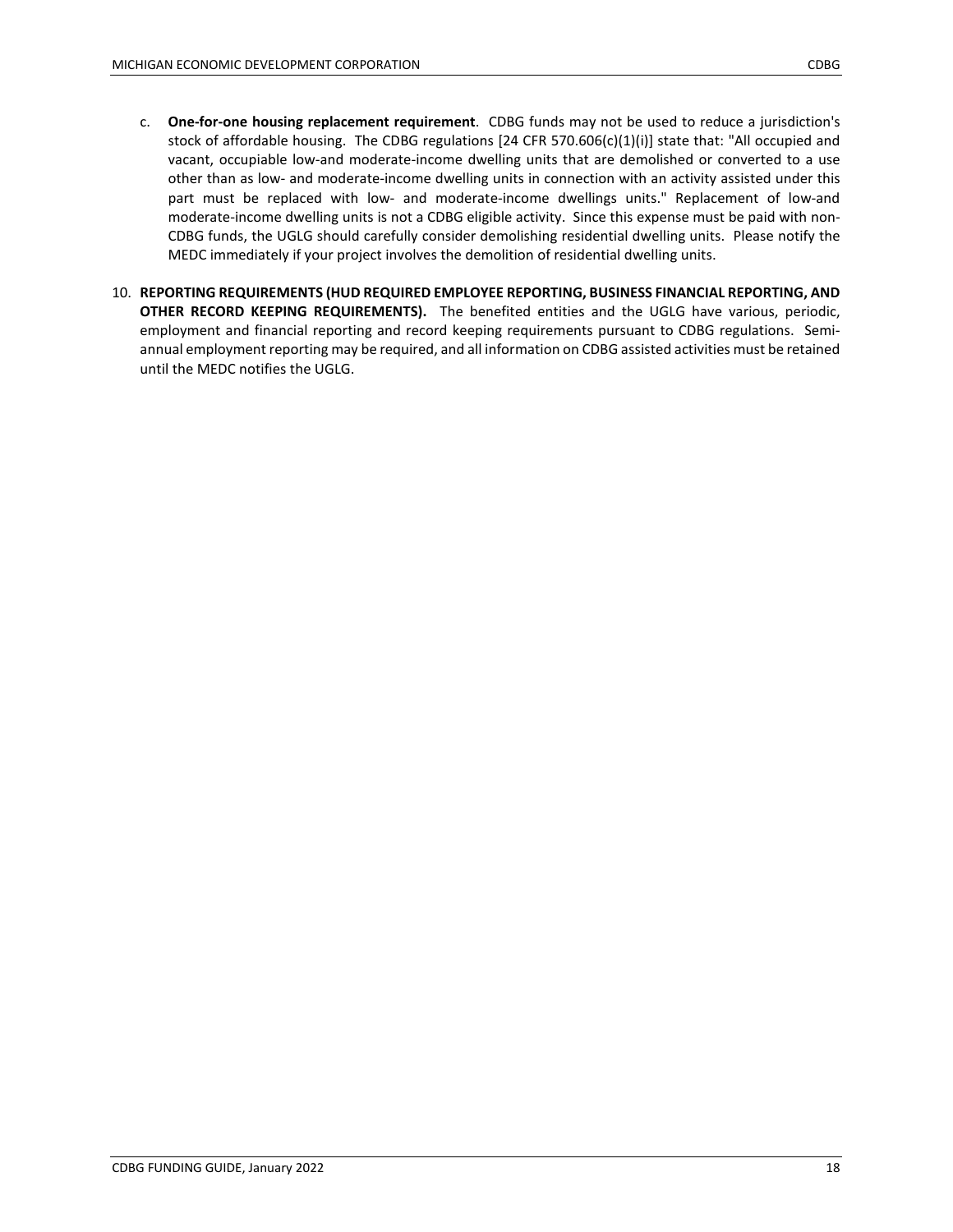- c. **One-for-one housing replacement requirement**. CDBG funds may not be used to reduce a jurisdiction's stock of affordable housing. The CDBG regulations [24 CFR 570.606(c)(1)(i)] state that: "All occupied and vacant, occupiable low-and moderate-income dwelling units that are demolished or converted to a use other than as low- and moderate-income dwelling units in connection with an activity assisted under this part must be replaced with low- and moderate-income dwellings units." Replacement of low-and moderate-income dwelling units is not a CDBG eligible activity. Since this expense must be paid with non-CDBG funds, the UGLG should carefully consider demolishing residential dwelling units. Please notify the MEDC immediately if your project involves the demolition of residential dwelling units.
- 10. **REPORTING REQUIREMENTS (HUD REQUIRED EMPLOYEE REPORTING, BUSINESS FINANCIAL REPORTING, AND OTHER RECORD KEEPING REQUIREMENTS).** The benefited entities and the UGLG have various, periodic, employment and financial reporting and record keeping requirements pursuant to CDBG regulations. Semiannual employment reporting may be required, and all information on CDBG assisted activities must be retained until the MEDC notifies the UGLG.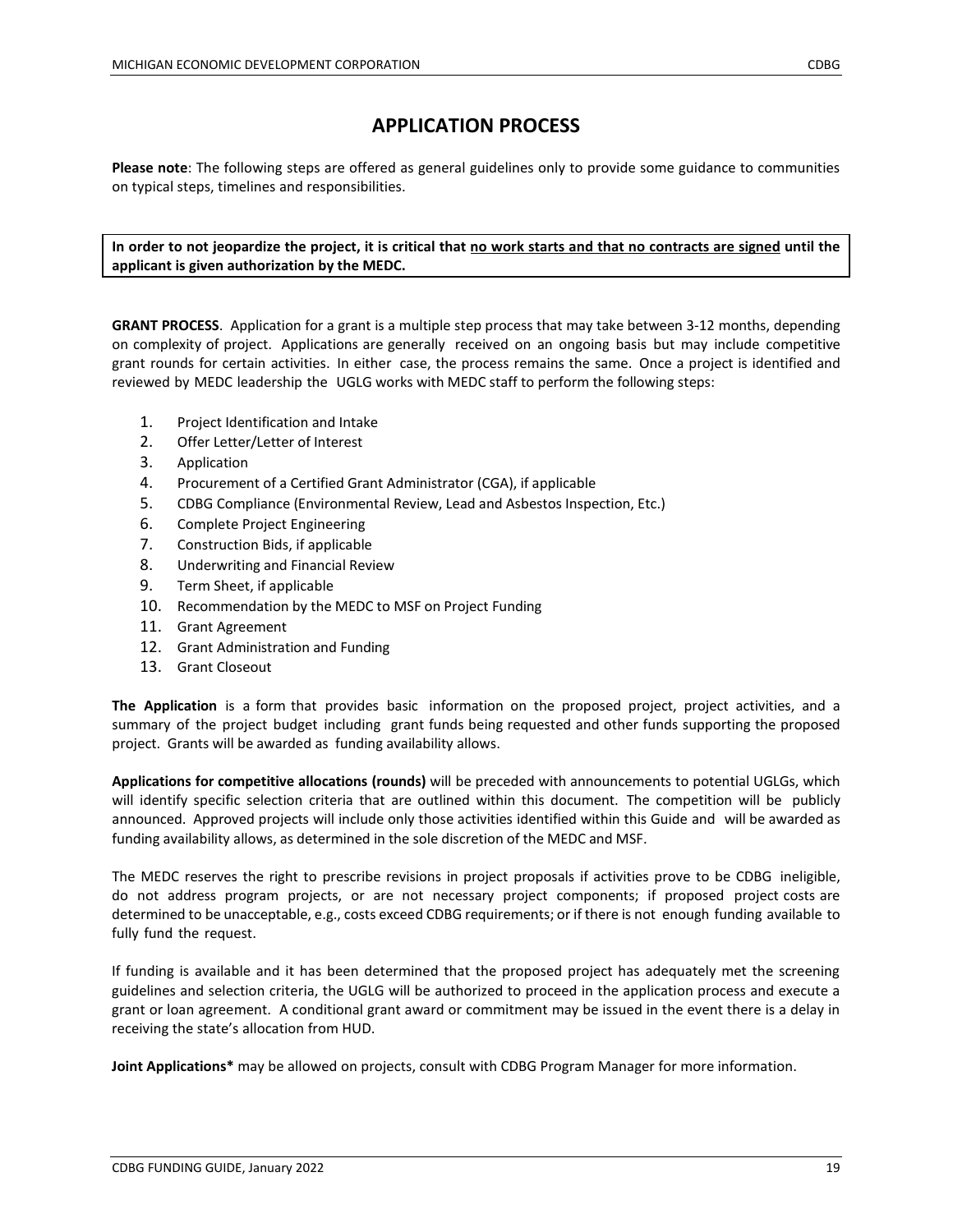**Please note**: The following steps are offered as general guidelines only to provide some guidance to communities on typical steps, timelines and responsibilities.

**In order to not jeopardize the project, it is critical that no work starts and that no contracts are signed until the applicant is given authorization by the MEDC.**

**GRANT PROCESS**. Application for a grant is a multiple step process that may take between 3-12 months, depending on complexity of project. Applications are generally received on an ongoing basis but may include competitive grant rounds for certain activities. In either case, the process remains the same. Once a project is identified and reviewed by MEDC leadership the UGLG works with MEDC staff to perform the following steps:

- 1. Project Identification and Intake
- 2. Offer Letter/Letter of Interest
- 3. Application
- 4. Procurement of a Certified Grant Administrator (CGA), if applicable
- 5. CDBG Compliance (Environmental Review, Lead and Asbestos Inspection, Etc.)
- 6. Complete Project Engineering
- 7. Construction Bids, if applicable
- 8. Underwriting and Financial Review
- 9. Term Sheet, if applicable
- 10. Recommendation by the MEDC to MSF on Project Funding
- 11. Grant Agreement
- 12. Grant Administration and Funding
- 13. Grant Closeout

**The Application** is a form that provides basic information on the proposed project, project activities, and a summary of the project budget including grant funds being requested and other funds supporting the proposed project. Grants will be awarded as funding availability allows.

**Applications for competitive allocations (rounds)** will be preceded with announcements to potential UGLGs, which will identify specific selection criteria that are outlined within this document. The competition will be publicly announced. Approved projects will include only those activities identified within this Guide and will be awarded as funding availability allows, as determined in the sole discretion of the MEDC and MSF.

The MEDC reserves the right to prescribe revisions in project proposals if activities prove to be CDBG ineligible, do not address program projects, or are not necessary project components; if proposed project costs are determined to be unacceptable, e.g., costs exceed CDBG requirements; or if there is not enough funding available to fully fund the request.

If funding is available and it has been determined that the proposed project has adequately met the screening guidelines and selection criteria, the UGLG will be authorized to proceed in the application process and execute a grant or loan agreement. A conditional grant award or commitment may be issued in the event there is a delay in receiving the state's allocation from HUD.

**Joint Applications\*** may be allowed on projects, consult with CDBG Program Manager for more information.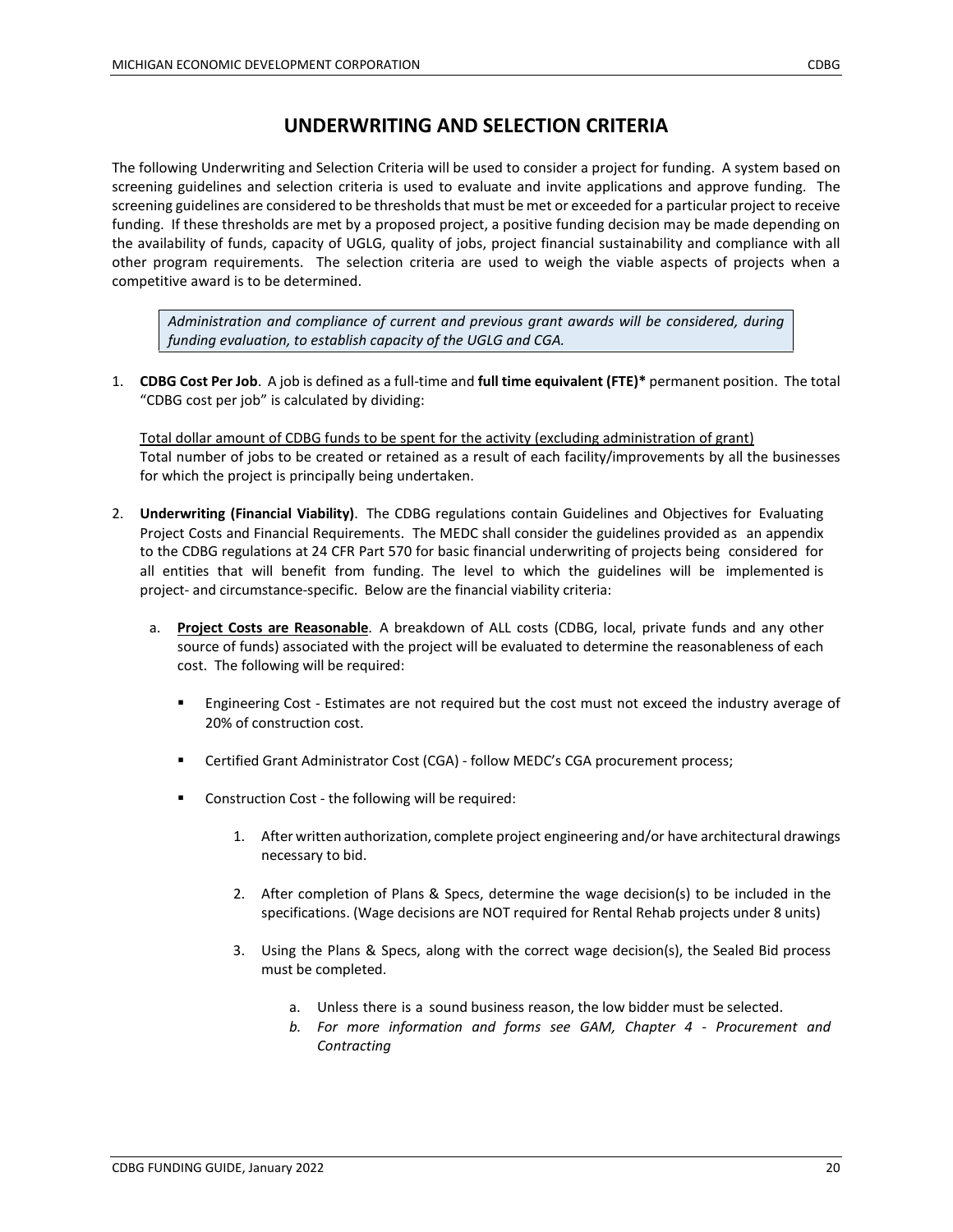# **UNDERWRITING AND SELECTION CRITERIA**

The following Underwriting and Selection Criteria will be used to consider a project for funding. A system based on screening guidelines and selection criteria is used to evaluate and invite applications and approve funding. The screening guidelines are considered to be thresholds that must be met or exceeded for a particular project to receive funding. If these thresholds are met by a proposed project, a positive funding decision may be made depending on the availability of funds, capacity of UGLG, quality of jobs, project financial sustainability and compliance with all other program requirements. The selection criteria are used to weigh the viable aspects of projects when a competitive award is to be determined.

*Administration and compliance of current and previous grant awards will be considered, during funding evaluation, to establish capacity of the UGLG and CGA.*

1. **CDBG Cost Per Job**. A job is defined as a full-time and **full time equivalent (FTE)\*** permanent position. The total "CDBG cost per job" is calculated by dividing:

Total dollar amount of CDBG funds to be spent for the activity (excluding administration of grant) Total number of jobs to be created or retained as a result of each facility/improvements by all the businesses for which the project is principally being undertaken.

- 2. **Underwriting (Financial Viability)**. The CDBG regulations contain Guidelines and Objectives for Evaluating Project Costs and Financial Requirements. The MEDC shall consider the guidelines provided as an appendix to the CDBG regulations at 24 CFR Part 570 for basic financial underwriting of projects being considered for all entities that will benefit from funding. The level to which the guidelines will be implemented is project- and circumstance-specific. Below are the financial viability criteria:
	- a. **Project Costs are Reasonable**. A breakdown of ALL costs (CDBG, local, private funds and any other source of funds) associated with the project will be evaluated to determine the reasonableness of each cost. The following will be required:
		- **Engineering Cost Estimates are not required but the cost must not exceed the industry average of** 20% of construction cost.
		- Certified Grant Administrator Cost (CGA) follow MEDC's CGA procurement process;
		- Construction Cost the following will be required:
			- 1. After written authorization, complete project engineering and/or have architectural drawings necessary to bid.
			- 2. After completion of Plans & Specs, determine the wage decision(s) to be included in the specifications. (Wage decisions are NOT required for Rental Rehab projects under 8 units)
			- 3. Using the Plans & Specs, along with the correct wage decision(s), the Sealed Bid process must be completed.
				- a. Unless there is a sound business reason, the low bidder must be selected.
				- *b. For more information and forms see GAM, Chapter 4 - Procurement and Contracting*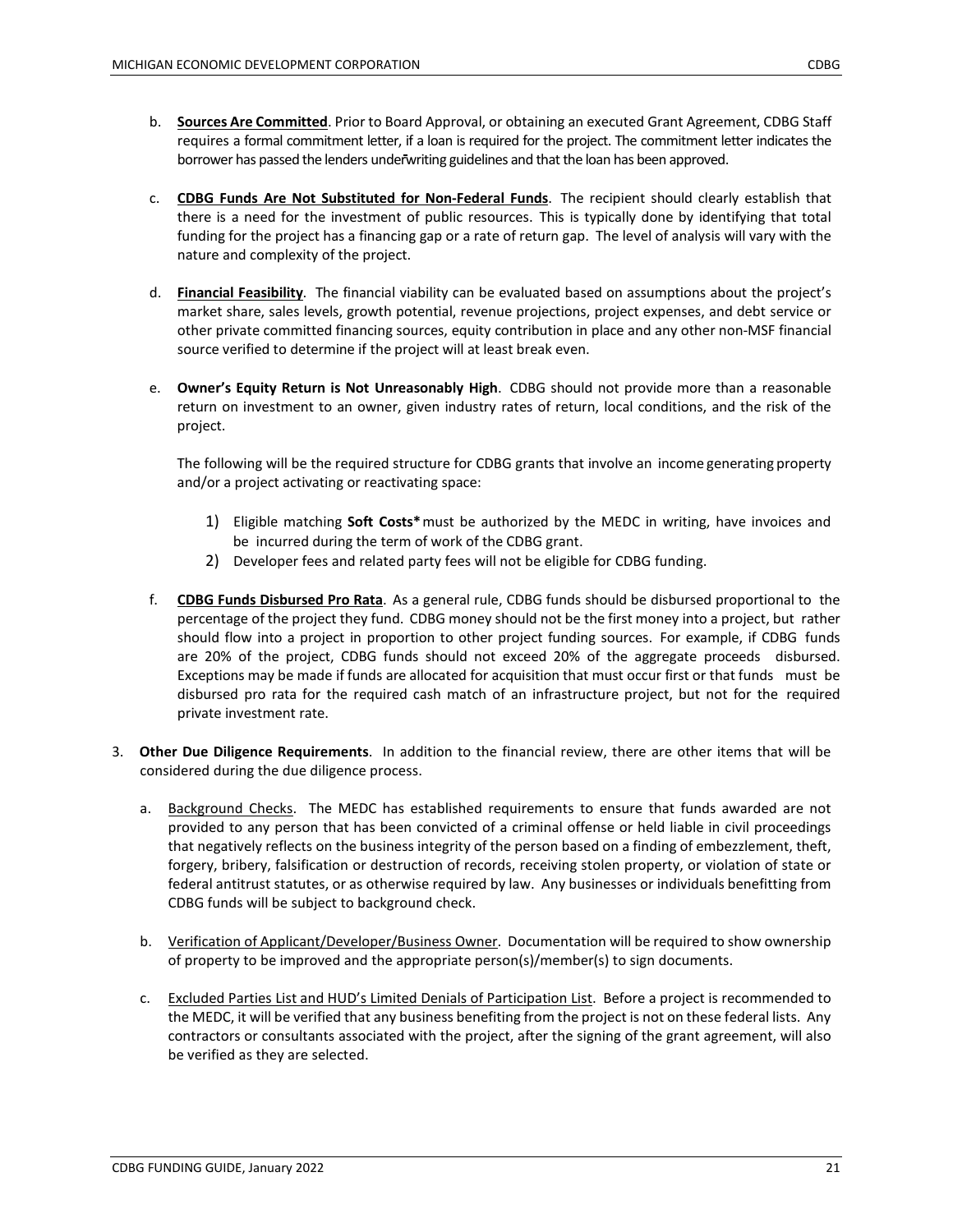- b. **Sources Are Committed**. Prior to Board Approval, or obtaining an executed Grant Agreement, CDBG Staff requires a formal commitment letter, if a loan is required for the project. The commitment letter indicates the borrower has passed the lenders underwriting guidelines and that the loan has been approved.
- c. **CDBG Funds Are Not Substituted for Non-Federal Funds**. The recipient should clearly establish that there is a need for the investment of public resources. This is typically done by identifying that total funding for the project has a financing gap or a rate of return gap. The level of analysis will vary with the nature and complexity of the project.
- d. **Financial Feasibility**. The financial viability can be evaluated based on assumptions about the project's market share, sales levels, growth potential, revenue projections, project expenses, and debt service or other private committed financing sources, equity contribution in place and any other non-MSF financial source verified to determine if the project will at least break even.
- e. **Owner's Equity Return is Not Unreasonably High**. CDBG should not provide more than a reasonable return on investment to an owner, given industry rates of return, local conditions, and the risk of the project.

The following will be the required structure for CDBG grants that involve an income generating property and/or a project activating or reactivating space:

- 1) Eligible matching **Soft Costs\***must be authorized by the MEDC in writing, have invoices and be incurred during the term of work of the CDBG grant.
- 2) Developer fees and related party fees will not be eligible for CDBG funding.
- f. **CDBG Funds Disbursed Pro Rata**. As a general rule, CDBG funds should be disbursed proportional to the percentage of the project they fund. CDBG money should not be the first money into a project, but rather should flow into a project in proportion to other project funding sources. For example, if CDBG funds are 20% of the project, CDBG funds should not exceed 20% of the aggregate proceeds disbursed. Exceptions may be made if funds are allocated for acquisition that must occur first or that funds must be disbursed pro rata for the required cash match of an infrastructure project, but not for the required private investment rate.
- 3. **Other Due Diligence Requirements**. In addition to the financial review, there are other items that will be considered during the due diligence process.
	- a. Background Checks. The MEDC has established requirements to ensure that funds awarded are not provided to any person that has been convicted of a criminal offense or held liable in civil proceedings that negatively reflects on the business integrity of the person based on a finding of embezzlement, theft, forgery, bribery, falsification or destruction of records, receiving stolen property, or violation of state or federal antitrust statutes, or as otherwise required by law. Any businesses or individuals benefitting from CDBG funds will be subject to background check.
	- b. Verification of Applicant/Developer/Business Owner. Documentation will be required to show ownership of property to be improved and the appropriate person(s)/member(s) to sign documents.
	- c. Excluded Parties List and HUD's Limited Denials of Participation List. Before a project is recommended to the MEDC, it will be verified that any business benefiting from the project is not on these federal lists. Any contractors or consultants associated with the project, after the signing of the grant agreement, will also be verified as they are selected.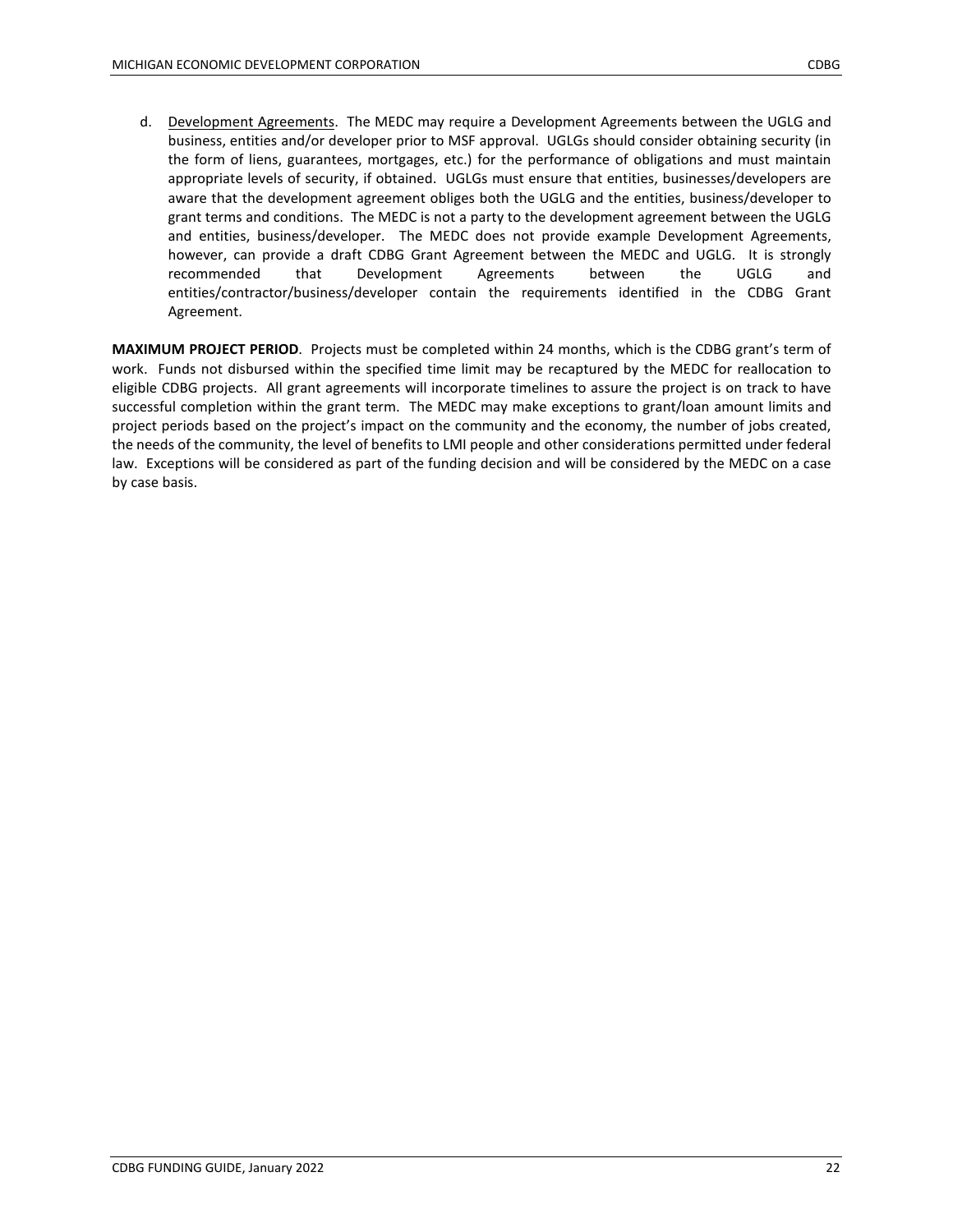d. Development Agreements. The MEDC may require a Development Agreements between the UGLG and business, entities and/or developer prior to MSF approval. UGLGs should consider obtaining security (in the form of liens, guarantees, mortgages, etc.) for the performance of obligations and must maintain appropriate levels of security, if obtained. UGLGs must ensure that entities, businesses/developers are aware that the development agreement obliges both the UGLG and the entities, business/developer to grant terms and conditions. The MEDC is not a party to the development agreement between the UGLG and entities, business/developer. The MEDC does not provide example Development Agreements, however, can provide a draft CDBG Grant Agreement between the MEDC and UGLG. It is strongly recommended that Development Agreements between the UGLG and entities/contractor/business/developer contain the requirements identified in the CDBG Grant Agreement.

**MAXIMUM PROJECT PERIOD**. Projects must be completed within 24 months, which is the CDBG grant's term of work. Funds not disbursed within the specified time limit may be recaptured by the MEDC for reallocation to eligible CDBG projects. All grant agreements will incorporate timelines to assure the project is on track to have successful completion within the grant term. The MEDC may make exceptions to grant/loan amount limits and project periods based on the project's impact on the community and the economy, the number of jobs created, the needs of the community, the level of benefits to LMI people and other considerations permitted under federal law. Exceptions will be considered as part of the funding decision and will be considered by the MEDC on a case by case basis.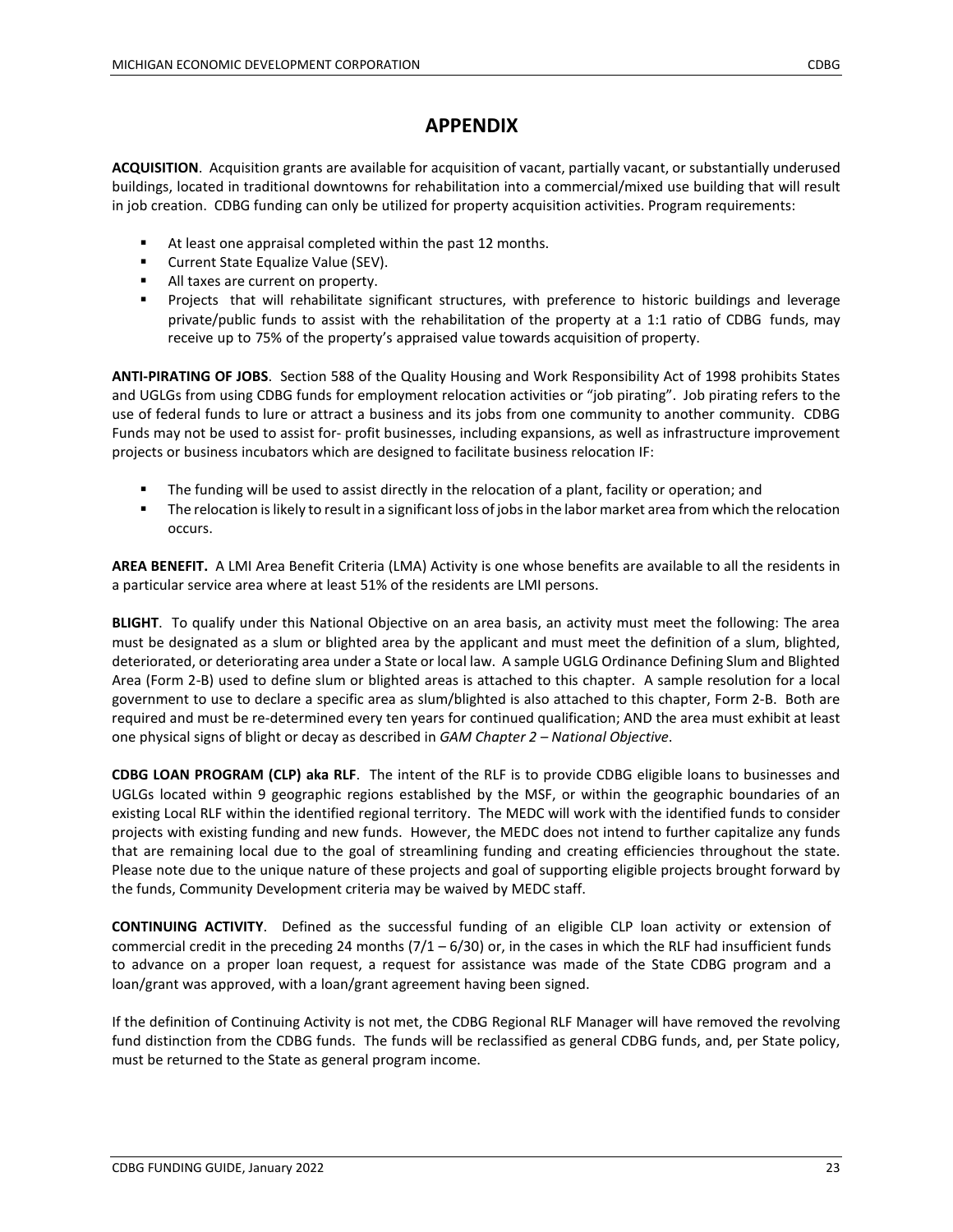## **APPENDIX**

**ACQUISITION**. Acquisition grants are available for acquisition of vacant, partially vacant, or substantially underused buildings, located in traditional downtowns for rehabilitation into a commercial/mixed use building that will result in job creation. CDBG funding can only be utilized for property acquisition activities. Program requirements:

- At least one appraisal completed within the past 12 months.
- **EXECUTE:** Current State Equalize Value (SEV).
- All taxes are current on property.
- **Projects that will rehabilitate significant structures, with preference to historic buildings and leverage** private/public funds to assist with the rehabilitation of the property at a 1:1 ratio of CDBG funds, may receive up to 75% of the property's appraised value towards acquisition of property.

**ANTI-PIRATING OF JOBS**. Section 588 of the Quality Housing and Work Responsibility Act of 1998 prohibits States and UGLGs from using CDBG funds for employment relocation activities or "job pirating". Job pirating refers to the use of federal funds to lure or attract a business and its jobs from one community to another community. CDBG Funds may not be used to assist for- profit businesses, including expansions, as well as infrastructure improvement projects or business incubators which are designed to facilitate business relocation IF:

- The funding will be used to assist directly in the relocation of a plant, facility or operation; and
- The relocation is likely to result in a significant loss of jobs in the labor market area from which the relocation occurs.

**AREA BENEFIT.** A LMI Area Benefit Criteria (LMA) Activity is one whose benefits are available to all the residents in a particular service area where at least 51% of the residents are LMI persons.

**BLIGHT**. To qualify under this National Objective on an area basis, an activity must meet the following: The area must be designated as a slum or blighted area by the applicant and must meet the definition of a slum, blighted, deteriorated, or deteriorating area under a State or local law. A sample UGLG Ordinance Defining Slum and Blighted Area (Form 2-B) used to define slum or blighted areas is attached to this chapter. A sample resolution for a local government to use to declare a specific area as slum/blighted is also attached to this chapter, Form 2-B. Both are required and must be re-determined every ten years for continued qualification; AND the area must exhibit at least one physical signs of blight or decay as described in *GAM Chapter 2 – National Objective*.

**CDBG LOAN PROGRAM (CLP) aka RLF**. The intent of the RLF is to provide CDBG eligible loans to businesses and UGLGs located within 9 geographic regions established by the MSF, or within the geographic boundaries of an existing Local RLF within the identified regional territory. The MEDC will work with the identified funds to consider projects with existing funding and new funds. However, the MEDC does not intend to further capitalize any funds that are remaining local due to the goal of streamlining funding and creating efficiencies throughout the state. Please note due to the unique nature of these projects and goal of supporting eligible projects brought forward by the funds, Community Development criteria may be waived by MEDC staff.

**CONTINUING ACTIVITY**. Defined as the successful funding of an eligible CLP loan activity or extension of commercial credit in the preceding 24 months  $(7/1 - 6/30)$  or, in the cases in which the RLF had insufficient funds to advance on a proper loan request, a request for assistance was made of the State CDBG program and a loan/grant was approved, with a loan/grant agreement having been signed.

If the definition of Continuing Activity is not met, the CDBG Regional RLF Manager will have removed the revolving fund distinction from the CDBG funds. The funds will be reclassified as general CDBG funds, and, per State policy, must be returned to the State as general program income.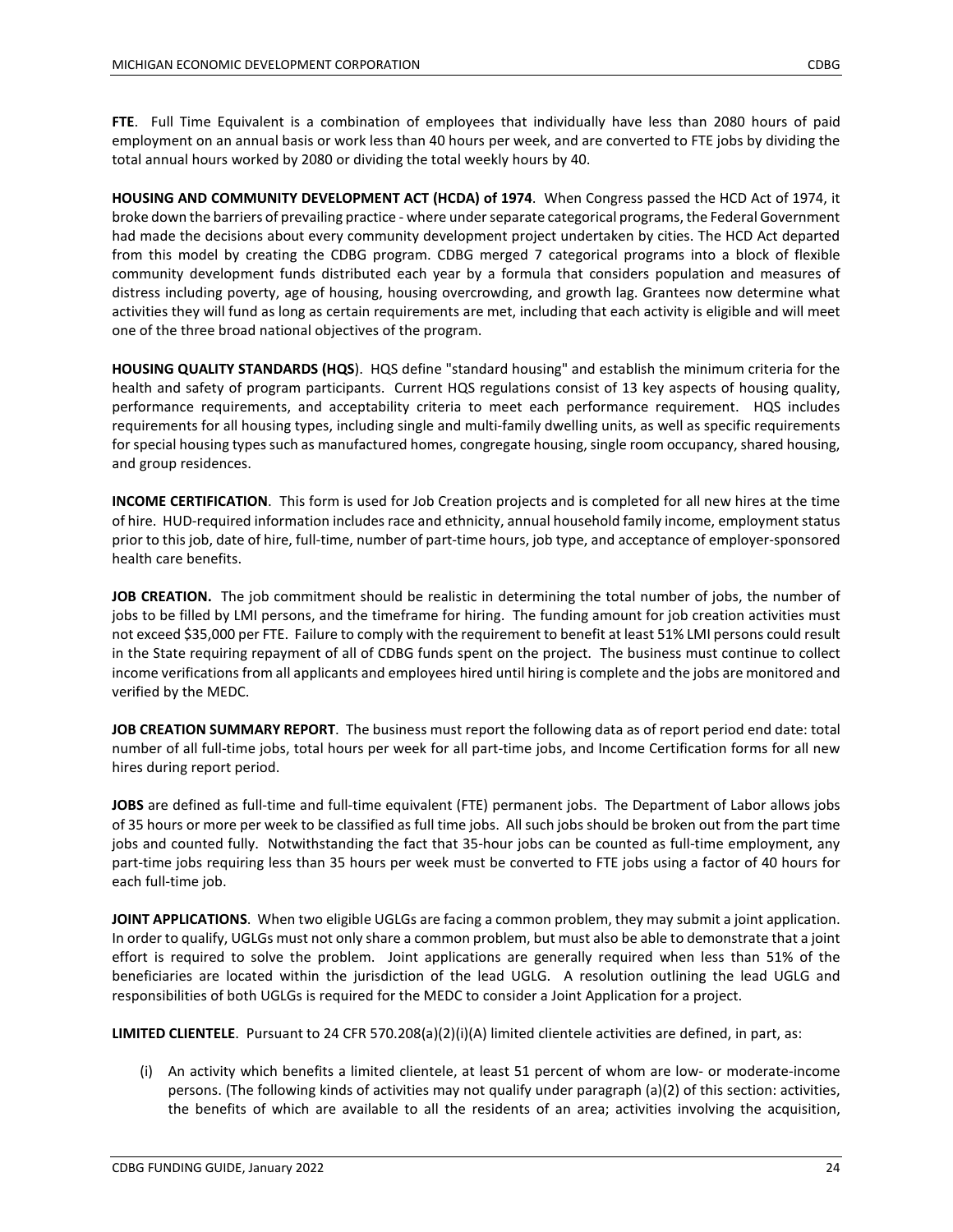**FTE**. Full Time Equivalent is a combination of employees that individually have less than 2080 hours of paid employment on an annual basis or work less than 40 hours per week, and are converted to FTE jobs by dividing the total annual hours worked by 2080 or dividing the total weekly hours by 40.

**HOUSING AND COMMUNITY DEVELOPMENT ACT (HCDA) of 1974**. When Congress passed the HCD Act of 1974, it broke down the barriers of prevailing practice - where under separate categorical programs, the Federal Government had made the decisions about every community development project undertaken by cities. The HCD Act departed from this model by creating the CDBG program. CDBG merged 7 categorical programs into a block of flexible community development funds distributed each year by a formula that considers population and measures of distress including poverty, age of housing, housing overcrowding, and growth lag. Grantees now determine what activities they will fund as long as certain requirements are met, including that each activity is eligible and will meet one of the three broad national objectives of the program.

**HOUSING QUALITY STANDARDS (HQS**). HQS define "standard housing" and establish the minimum criteria for the health and safety of program participants. Current HQS regulations consist of 13 key aspects of housing quality, performance requirements, and acceptability criteria to meet each performance requirement. HQS includes requirements for all housing types, including single and multi-family dwelling units, as well as specific requirements for special housing types such as manufactured homes, congregate housing, single room occupancy, shared housing, and group residences.

**INCOME CERTIFICATION**. This form is used for Job Creation projects and is completed for all new hires at the time of hire. HUD-required information includes race and ethnicity, annual household family income, employment status prior to this job, date of hire, full-time, number of part-time hours, job type, and acceptance of employer-sponsored health care benefits.

**JOB CREATION.** The job commitment should be realistic in determining the total number of jobs, the number of jobs to be filled by LMI persons, and the timeframe for hiring. The funding amount for job creation activities must not exceed \$35,000 per FTE. Failure to comply with the requirement to benefit at least 51% LMI persons could result in the State requiring repayment of all of CDBG funds spent on the project. The business must continue to collect income verifications from all applicants and employees hired until hiring is complete and the jobs are monitored and verified by the MEDC.

**JOB CREATION SUMMARY REPORT**. The business must report the following data as of report period end date: total number of all full-time jobs, total hours per week for all part-time jobs, and Income Certification forms for all new hires during report period.

**JOBS** are defined as full-time and full-time equivalent (FTE) permanent jobs. The Department of Labor allows jobs of 35 hours or more per week to be classified as full time jobs. All such jobs should be broken out from the part time jobs and counted fully. Notwithstanding the fact that 35-hour jobs can be counted as full-time employment, any part-time jobs requiring less than 35 hours per week must be converted to FTE jobs using a factor of 40 hours for each full-time job.

**JOINT APPLICATIONS**. When two eligible UGLGs are facing a common problem, they may submit a joint application. In order to qualify, UGLGs must not only share a common problem, but must also be able to demonstrate that a joint effort is required to solve the problem. Joint applications are generally required when less than 51% of the beneficiaries are located within the jurisdiction of the lead UGLG. A resolution outlining the lead UGLG and responsibilities of both UGLGs is required for the MEDC to consider a Joint Application for a project.

**LIMITED CLIENTELE**. Pursuant to 24 CFR 570.208(a)(2)(i)(A) limited clientele activities are defined, in part, as:

(i) An activity which benefits a limited clientele, at least 51 percent of whom are low- or moderate-income persons. (The following kinds of activities may not qualify under paragraph (a)(2) of this section: activities, the benefits of which are available to all the residents of an area; activities involving the acquisition,